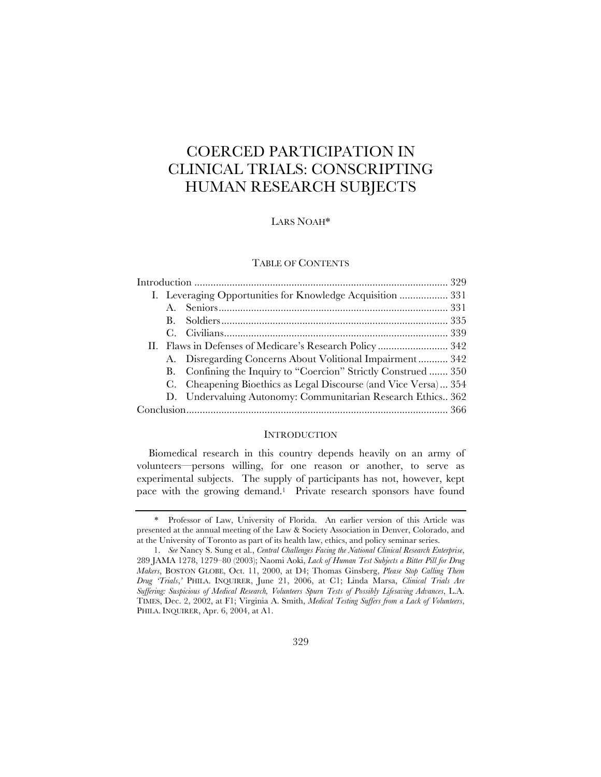# COERCED PARTICIPATION IN CLINICAL TRIALS: CONSCRIPTING HUMAN RESEARCH SUBJECTS

# LARS NOAH\*

#### TABLE OF CONTENTS

|  |           | I. Leveraging Opportunities for Knowledge Acquisition  331      |  |  |
|--|-----------|-----------------------------------------------------------------|--|--|
|  |           |                                                                 |  |  |
|  | <b>B.</b> |                                                                 |  |  |
|  |           |                                                                 |  |  |
|  |           |                                                                 |  |  |
|  |           | A. Disregarding Concerns About Volitional Impairment 342        |  |  |
|  |           | B. Confining the Inquiry to "Coercion" Strictly Construed  350  |  |  |
|  |           | C. Cheapening Bioethics as Legal Discourse (and Vice Versa) 354 |  |  |
|  |           | D. Undervaluing Autonomy: Communitarian Research Ethics 362     |  |  |
|  |           |                                                                 |  |  |

# **INTRODUCTION**

Biomedical research in this country depends heavily on an army of volunteers—persons willing, for one reason or another, to serve as experimental subjects. The supply of participants has not, however, kept pace with the growing demand.1 Private research sponsors have found

<sup>\*</sup> Professor of Law, University of Florida. An earlier version of this Article was presented at the annual meeting of the Law & Society Association in Denver, Colorado, and at the University of Toronto as part of its health law, ethics, and policy seminar series.

<sup>1.</sup> *See* Nancy S. Sung et al., *Central Challenges Facing the National Clinical Research Enterprise*, 289 JAMA 1278, 1279–80 (2003); Naomi Aoki, *Lack of Human Test Subjects a Bitter Pill for Drug Makers*, BOSTON GLOBE, Oct. 11, 2000, at D4; Thomas Ginsberg, *Please Stop Calling Them Drug 'Trials*,*'* PHILA. INQUIRER, June 21, 2006, at C1; Linda Marsa, *Clinical Trials Are Suffering: Suspicious of Medical Research, Volunteers Spurn Tests of Possibly Lifesaving Advances*, L.A. TIMES, Dec. 2, 2002, at F1; Virginia A. Smith, *Medical Testing Suffers from a Lack of Volunteers*, PHILA. INQUIRER, Apr. 6, 2004, at A1.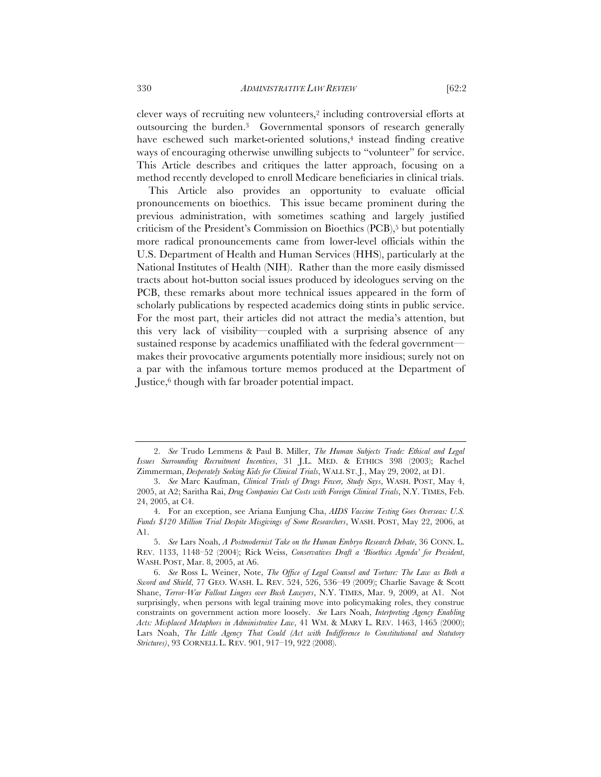330 *ADMINISTRATIVE LAW REVIEW* [62:2

clever ways of recruiting new volunteers,2 including controversial efforts at outsourcing the burden.3 Governmental sponsors of research generally have eschewed such market-oriented solutions,<sup>4</sup> instead finding creative ways of encouraging otherwise unwilling subjects to "volunteer" for service. This Article describes and critiques the latter approach, focusing on a method recently developed to enroll Medicare beneficiaries in clinical trials.

This Article also provides an opportunity to evaluate official pronouncements on bioethics. This issue became prominent during the previous administration, with sometimes scathing and largely justified criticism of the President's Commission on Bioethics (PCB),<sup>5</sup> but potentially more radical pronouncements came from lower-level officials within the U.S. Department of Health and Human Services (HHS), particularly at the National Institutes of Health (NIH). Rather than the more easily dismissed tracts about hot-button social issues produced by ideologues serving on the PCB, these remarks about more technical issues appeared in the form of scholarly publications by respected academics doing stints in public service. For the most part, their articles did not attract the media's attention, but this very lack of visibility—coupled with a surprising absence of any sustained response by academics unaffiliated with the federal government makes their provocative arguments potentially more insidious; surely not on a par with the infamous torture memos produced at the Department of Justice,<sup>6</sup> though with far broader potential impact.

<sup>2.</sup> *See* Trudo Lemmens & Paul B. Miller, *The Human Subjects Trade: Ethical and Legal Issues Surrounding Recruitment Incentives*, 31 J.L. MED. & ETHICS 398 (2003); Rachel Zimmerman, *Desperately Seeking Kids for Clinical Trials*, WALL ST. J., May 29, 2002, at D1.

<sup>3.</sup> *See* Marc Kaufman, *Clinical Trials of Drugs Fewer, Study Says*, WASH. POST, May 4, 2005, at A2; Saritha Rai, *Drug Companies Cut Costs with Foreign Clinical Trials*, N.Y. TIMES, Feb. 24, 2005, at C4.

<sup>4.</sup> For an exception, see Ariana Eunjung Cha, *AIDS Vaccine Testing Goes Overseas: U.S. Funds \$120 Million Trial Despite Misgivings of Some Researchers*, WASH. POST, May 22, 2006, at A1.

<sup>5.</sup> *See* Lars Noah, *A Postmodernist Take on the Human Embryo Research Debate*, 36 CONN. L. REV. 1133, 1148–52 (2004); Rick Weiss, *Conservatives Draft a 'Bioethics Agenda' for President*, WASH. POST, Mar. 8, 2005, at A6.

<sup>6.</sup> *See* Ross L. Weiner, Note, *The Office of Legal Counsel and Torture: The Law as Both a Sword and Shield*, 77 GEO. WASH. L. REV. 524, 526, 536–49 (2009); Charlie Savage & Scott Shane, *Terror-War Fallout Lingers over Bush Lawyers*, N.Y. TIMES, Mar. 9, 2009, at A1. Not surprisingly, when persons with legal training move into policymaking roles, they construe constraints on government action more loosely. *See* Lars Noah, *Interpreting Agency Enabling Acts: Misplaced Metaphors in Administrative Law*, 41 WM. & MARY L. REV. 1463, 1465 (2000); Lars Noah, *The Little Agency That Could (Act with Indifference to Constitutional and Statutory Strictures)*, 93 CORNELL L. REV. 901, 917–19, 922 (2008).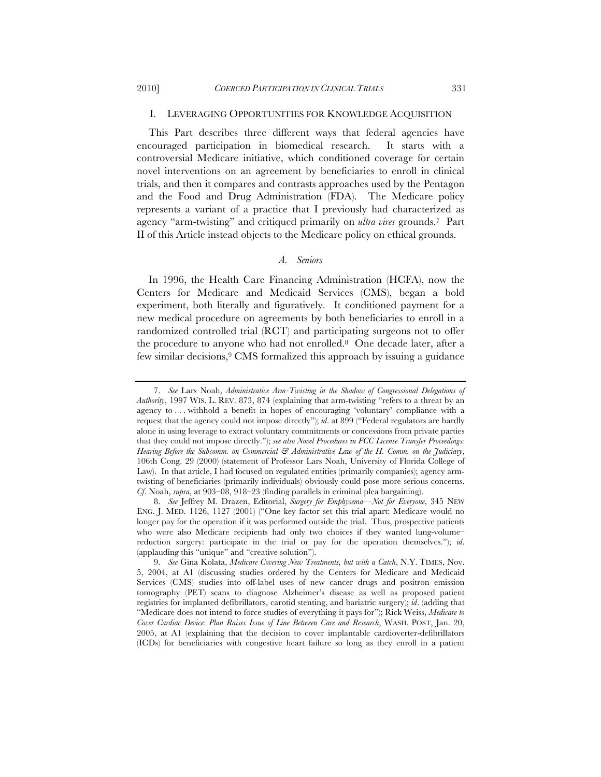### I. LEVERAGING OPPORTUNITIES FOR KNOWLEDGE ACQUISITION

This Part describes three different ways that federal agencies have encouraged participation in biomedical research. It starts with a controversial Medicare initiative, which conditioned coverage for certain novel interventions on an agreement by beneficiaries to enroll in clinical trials, and then it compares and contrasts approaches used by the Pentagon and the Food and Drug Administration (FDA). The Medicare policy represents a variant of a practice that I previously had characterized as agency "arm-twisting" and critiqued primarily on *ultra vires* grounds.7 Part II of this Article instead objects to the Medicare policy on ethical grounds.

## *A. Seniors*

In 1996, the Health Care Financing Administration (HCFA), now the Centers for Medicare and Medicaid Services (CMS), began a bold experiment, both literally and figuratively. It conditioned payment for a new medical procedure on agreements by both beneficiaries to enroll in a randomized controlled trial (RCT) and participating surgeons not to offer the procedure to anyone who had not enrolled.8 One decade later, after a few similar decisions,9 CMS formalized this approach by issuing a guidance

<sup>7.</sup> *See* Lars Noah, *Administrative Arm-Twisting in the Shadow of Congressional Delegations of Authority*, 1997 WIS. L. REV. 873, 874 (explaining that arm-twisting "refers to a threat by an agency to . . . withhold a benefit in hopes of encouraging 'voluntary' compliance with a request that the agency could not impose directly"); *id*. at 899 ("Federal regulators are hardly alone in using leverage to extract voluntary commitments or concessions from private parties that they could not impose directly."); *see also Novel Procedures in FCC License Transfer Proceedings: Hearing Before the Subcomm. on Commercial & Administrative Law of the H. Comm. on the Judiciary*, 106th Cong. 29 (2000) (statement of Professor Lars Noah, University of Florida College of Law). In that article, I had focused on regulated entities (primarily companies); agency armtwisting of beneficiaries (primarily individuals) obviously could pose more serious concerns. *Cf*. Noah, *supra*, at 903–08, 918–23 (finding parallels in criminal plea bargaining).

<sup>8.</sup> *See* Jeffrey M. Drazen, Editorial, *Surgery for Emphysema—Not for Everyone*, 345 NEW ENG. J. MED. 1126, 1127 (2001) ("One key factor set this trial apart: Medicare would no longer pay for the operation if it was performed outside the trial. Thus, prospective patients who were also Medicare recipients had only two choices if they wanted lung-volume– reduction surgery: participate in the trial or pay for the operation themselves."); *id*. (applauding this "unique" and "creative solution").

<sup>9.</sup> *See* Gina Kolata, *Medicare Covering New Treatments, but with a Catch*, N.Y. TIMES, Nov. 5, 2004, at A1 (discussing studies ordered by the Centers for Medicare and Medicaid Services (CMS) studies into off-label uses of new cancer drugs and positron emission tomography (PET) scans to diagnose Alzheimer's disease as well as proposed patient registries for implanted defibrillators, carotid stenting, and bariatric surgery); *id*. (adding that "Medicare does not intend to force studies of everything it pays for"); Rick Weiss, *Medicare to Cover Cardiac Device: Plan Raises Issue of Line Between Care and Research*, WASH. POST, Jan. 20, 2005, at A1 (explaining that the decision to cover implantable cardioverter-defibrillators (ICDs) for beneficiaries with congestive heart failure so long as they enroll in a patient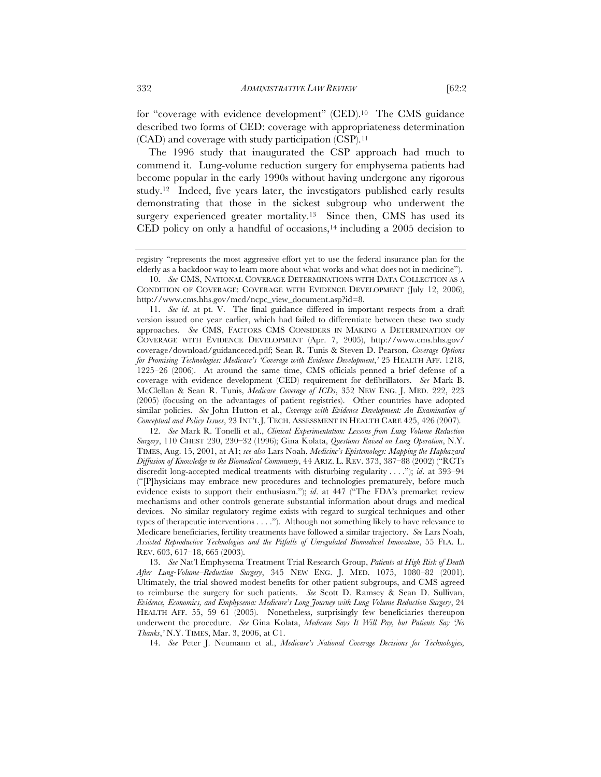for "coverage with evidence development" (CED).10 The CMS guidance described two forms of CED: coverage with appropriateness determination (CAD) and coverage with study participation (CSP).11

The 1996 study that inaugurated the CSP approach had much to commend it. Lung-volume reduction surgery for emphysema patients had become popular in the early 1990s without having undergone any rigorous study.12 Indeed, five years later, the investigators published early results demonstrating that those in the sickest subgroup who underwent the surgery experienced greater mortality.<sup>13</sup> Since then, CMS has used its CED policy on only a handful of occasions, $14$  including a 2005 decision to

12. *See* Mark R. Tonelli et al., *Clinical Experimentation: Lessons from Lung Volume Reduction Surgery*, 110 CHEST 230, 230–32 (1996); Gina Kolata, *Questions Raised on Lung Operation*, N.Y. TIMES, Aug. 15, 2001, at A1; *see also* Lars Noah, *Medicine's Epistemology: Mapping the Haphazard Diffusion of Knowledge in the Biomedical Community*, 44 ARIZ. L. REV. 373, 387–88 (2002) ("RCTs discredit long-accepted medical treatments with disturbing regularity . . . ."); *id*. at 393–94 ("[P]hysicians may embrace new procedures and technologies prematurely, before much evidence exists to support their enthusiasm."); *id*. at 447 ("The FDA's premarket review mechanisms and other controls generate substantial information about drugs and medical devices. No similar regulatory regime exists with regard to surgical techniques and other types of therapeutic interventions . . . ."). Although not something likely to have relevance to Medicare beneficiaries, fertility treatments have followed a similar trajectory. *See* Lars Noah, *Assisted Reproductive Technologies and the Pitfalls of Unregulated Biomedical Innovation*, 55 FLA. L. REV. 603, 617–18, 665 (2003).

13. *See* Nat'l Emphysema Treatment Trial Research Group, *Patients at High Risk of Death After Lung-Volume–Reduction Surgery*, 345 NEW ENG. J. MED. 1075, 1080–82 (2001). Ultimately, the trial showed modest benefits for other patient subgroups, and CMS agreed to reimburse the surgery for such patients. *See* Scott D. Ramsey & Sean D. Sullivan, *Evidence, Economics, and Emphysema: Medicare's Long Journey with Lung Volume Reduction Surgery*, 24 HEALTH AFF. 55, 59–61 (2005). Nonetheless, surprisingly few beneficiaries thereupon underwent the procedure. *See* Gina Kolata, *Medicare Says It Will Pay, but Patients Say 'No Thanks*,*'* N.Y. TIMES, Mar. 3, 2006, at C1.

14. *See* Peter J. Neumann et al., *Medicare's National Coverage Decisions for Technologies,* 

registry "represents the most aggressive effort yet to use the federal insurance plan for the elderly as a backdoor way to learn more about what works and what does not in medicine").

<sup>10.</sup> *See* CMS, NATIONAL COVERAGE DETERMINATIONS WITH DATA COLLECTION AS A CONDITION OF COVERAGE: COVERAGE WITH EVIDENCE DEVELOPMENT (July 12, 2006), http://www.cms.hhs.gov/mcd/ncpc\_view\_document.asp?id=8.

<sup>11.</sup> *See id*. at pt. V. The final guidance differed in important respects from a draft version issued one year earlier, which had failed to differentiate between these two study approaches. *See* CMS, FACTORS CMS CONSIDERS IN MAKING A DETERMINATION OF COVERAGE WITH EVIDENCE DEVELOPMENT (Apr. 7, 2005), http://www.cms.hhs.gov/ coverage/download/guidanceced.pdf; Sean R. Tunis & Steven D. Pearson, *Coverage Options for Promising Technologies: Medicare's 'Coverage with Evidence Development*,*'* 25 HEALTH AFF. 1218, 1225–26 (2006). At around the same time, CMS officials penned a brief defense of a coverage with evidence development (CED) requirement for defibrillators. *See* Mark B. McClellan & Sean R. Tunis, *Medicare Coverage of ICDs*, 352 NEW ENG. J. MED. 222, 223 (2005) (focusing on the advantages of patient registries). Other countries have adopted similar policies. *See* John Hutton et al., *Coverage with Evidence Development: An Examination of Conceptual and Policy Issues*, 23 INT'L J. TECH. ASSESSMENT IN HEALTH CARE 425, 426 (2007).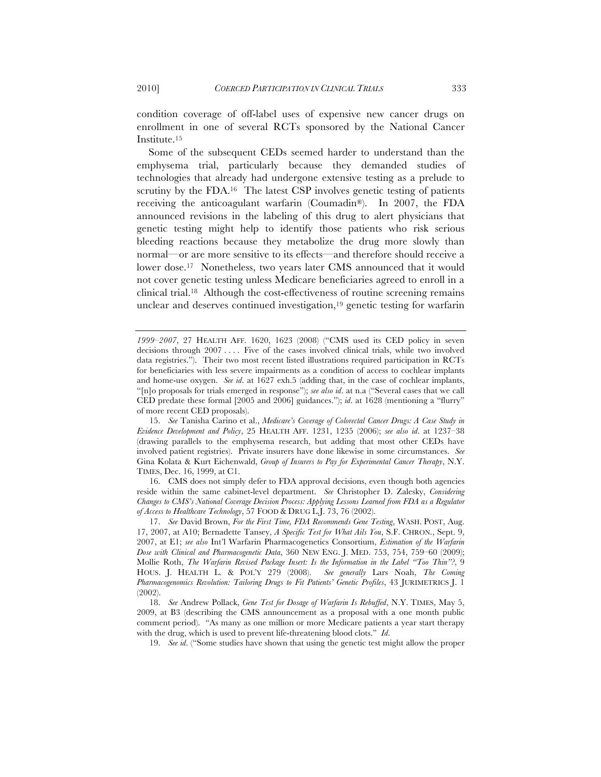condition coverage of off-label uses of expensive new cancer drugs on enrollment in one of several RCTs sponsored by the National Cancer Institute.15

Some of the subsequent CEDs seemed harder to understand than the emphysema trial, particularly because they demanded studies of technologies that already had undergone extensive testing as a prelude to scrutiny by the FDA.<sup>16</sup> The latest CSP involves genetic testing of patients receiving the anticoagulant warfarin (Coumadin®). In 2007, the FDA announced revisions in the labeling of this drug to alert physicians that genetic testing might help to identify those patients who risk serious bleeding reactions because they metabolize the drug more slowly than normal—or are more sensitive to its effects—and therefore should receive a lower dose.17 Nonetheless, two years later CMS announced that it would not cover genetic testing unless Medicare beneficiaries agreed to enroll in a clinical trial.18 Although the cost-effectiveness of routine screening remains unclear and deserves continued investigation,<sup>19</sup> genetic testing for warfarin

16. CMS does not simply defer to FDA approval decisions, even though both agencies reside within the same cabinet-level department. *See* Christopher D. Zalesky, *Considering Changes to CMS's National Coverage Decision Process: Applying Lessons Learned from FDA as a Regulator of Access to Healthcare Technology*, 57 FOOD & DRUG L.J. 73, 76 (2002).

19. *See id*. ("Some studies have shown that using the genetic test might allow the proper

*<sup>1999–2007</sup>*, 27 HEALTH AFF. 1620, 1623 (2008) ("CMS used its CED policy in seven decisions through 2007 . . . . Five of the cases involved clinical trials, while two involved data registries."). Their two most recent listed illustrations required participation in RCTs for beneficiaries with less severe impairments as a condition of access to cochlear implants and home-use oxygen. *See id*. at 1627 exh.5 (adding that, in the case of cochlear implants, "[n]o proposals for trials emerged in response"); *see also id*. at n.a ("Several cases that we call CED predate these formal [2005 and 2006] guidances."); *id*. at 1628 (mentioning a "flurry" of more recent CED proposals).

<sup>15.</sup> *See* Tanisha Carino et al., *Medicare's Coverage of Colorectal Cancer Drugs: A Case Study in Evidence Development and Policy*, 25 HEALTH AFF. 1231, 1235 (2006); *see also id*. at 1237–38 (drawing parallels to the emphysema research, but adding that most other CEDs have involved patient registries). Private insurers have done likewise in some circumstances. *See* Gina Kolata & Kurt Eichenwald, *Group of Insurers to Pay for Experimental Cancer Therapy*, N.Y. TIMES, Dec. 16, 1999, at C1.

<sup>17.</sup> *See* David Brown, *For the First Time, FDA Recommends Gene Testing*, WASH. POST, Aug. 17, 2007, at A10; Bernadette Tansey, *A Specific Test for What Ails You*, S.F. CHRON., Sept. 9, 2007, at E1; *see also* Int'l Warfarin Pharmacogenetics Consortium, *Estimation of the Warfarin Dose with Clinical and Pharmacogenetic Data*, 360 NEW ENG. J. MED. 753, 754, 759–60 (2009); Mollie Roth, *The Warfarin Revised Package Insert: Is the Information in the Label "Too Thin"?*, 9 HOUS. J. HEALTH L. & POL'Y 279 (2008). *See generally* Lars Noah, *The Coming Pharmacogenomics Revolution: Tailoring Drugs to Fit Patients' Genetic Profiles*, 43 JURIMETRICS J. 1 (2002).

<sup>18.</sup> *See* Andrew Pollack, *Gene Test for Dosage of Warfarin Is Rebuffed*, N.Y. TIMES, May 5, 2009, at B3 (describing the CMS announcement as a proposal with a one month public comment period). "As many as one million or more Medicare patients a year start therapy with the drug, which is used to prevent life-threatening blood clots." *Id*.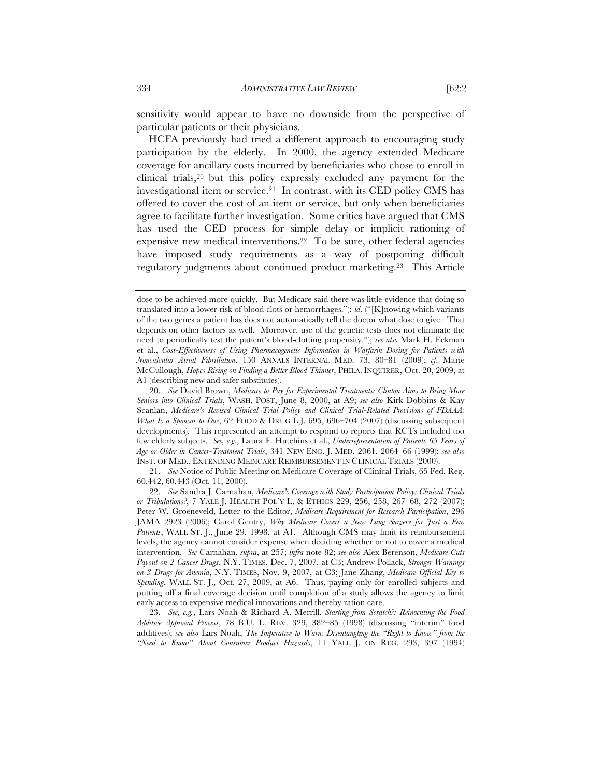sensitivity would appear to have no downside from the perspective of particular patients or their physicians.

HCFA previously had tried a different approach to encouraging study participation by the elderly. In 2000, the agency extended Medicare coverage for ancillary costs incurred by beneficiaries who chose to enroll in clinical trials,20 but this policy expressly excluded any payment for the investigational item or service.21 In contrast, with its CED policy CMS has offered to cover the cost of an item or service, but only when beneficiaries agree to facilitate further investigation. Some critics have argued that CMS has used the CED process for simple delay or implicit rationing of expensive new medical interventions.22 To be sure, other federal agencies have imposed study requirements as a way of postponing difficult regulatory judgments about continued product marketing.23 This Article

21. *See* Notice of Public Meeting on Medicare Coverage of Clinical Trials, 65 Fed. Reg. 60,442, 60,443 (Oct. 11, 2000).

dose to be achieved more quickly. But Medicare said there was little evidence that doing so translated into a lower risk of blood clots or hemorrhages."); *id*. ("[K]nowing which variants of the two genes a patient has does not automatically tell the doctor what dose to give. That depends on other factors as well. Moreover, use of the genetic tests does not eliminate the need to periodically test the patient's blood-clotting propensity."); *see also* Mark H. Eckman et al., *Cost-Effectiveness of Using Pharmacogenetic Information in Warfarin Dosing for Patients with Nonvalvular Atrial Fibrillation*, 150 ANNALS INTERNAL MED. 73, 80–81 (2009); *cf*. Marie McCullough, *Hopes Rising on Finding a Better Blood Thinner*, PHILA. INQUIRER, Oct. 20, 2009, at A1 (describing new and safer substitutes).

<sup>20.</sup> *See* David Brown, *Medicare to Pay for Experimental Treatments: Clinton Aims to Bring More Seniors into Clinical Trials*, WASH. POST, June 8, 2000, at A9; *see also* Kirk Dobbins & Kay Scanlan, *Medicare's Revised Clinical Trial Policy and Clinical Trial-Related Provisions of FDAAA: What Is a Sponsor to Do?*, 62 FOOD & DRUG L.J. 695, 696–704 (2007) (discussing subsequent developments). This represented an attempt to respond to reports that RCTs included too few elderly subjects. *See, e.g.*, Laura F. Hutchins et al., *Underrepresentation of Patients 65 Years of Age or Older in Cancer-Treatment Trials*, 341 NEW ENG. J. MED. 2061, 2064–66 (1999); *see also* INST. OF MED., EXTENDING MEDICARE REIMBURSEMENT IN CLINICAL TRIALS (2000).

<sup>22.</sup> *See* Sandra J. Carnahan, *Medicare's Coverage with Study Participation Policy: Clinical Trials or Tribulations?*, 7 YALE J. HEALTH POL'Y L. & ETHICS 229, 256, 258, 267–68, 272 (2007); Peter W. Groeneveld, Letter to the Editor, *Medicare Requirement for Research Participation*, 296 JAMA 2923 (2006); Carol Gentry, *Why Medicare Covers a New Lung Surgery for Just a Few Patients*, WALL ST. J., June 29, 1998, at A1. Although CMS may limit its reimbursement levels, the agency cannot consider expense when deciding whether or not to cover a medical intervention. *See* Carnahan, *supra*, at 257; *infra* note 82; *see also* Alex Berenson, *Medicare Cuts Payout on 2 Cancer Drugs*, N.Y. TIMES, Dec. 7, 2007, at C3; Andrew Pollack, *Stronger Warnings on 3 Drugs for Anemia*, N.Y. TIMES, Nov. 9, 2007, at C3; Jane Zhang, *Medicare Official Key to Spending*, WALL ST. J., Oct. 27, 2009, at A6. Thus, paying only for enrolled subjects and putting off a final coverage decision until completion of a study allows the agency to limit early access to expensive medical innovations and thereby ration care.

<sup>23.</sup> *See, e.g.*, Lars Noah & Richard A. Merrill, *Starting from Scratch?: Reinventing the Food Additive Approval Process*, 78 B.U. L. REV. 329, 382–85 (1998) (discussing "interim" food additives); *see also* Lars Noah, *The Imperative to Warn: Disentangling the "Right to Know" from the "Need to Know" About Consumer Product Hazards*, 11 YALE J. ON REG. 293, 397 (1994)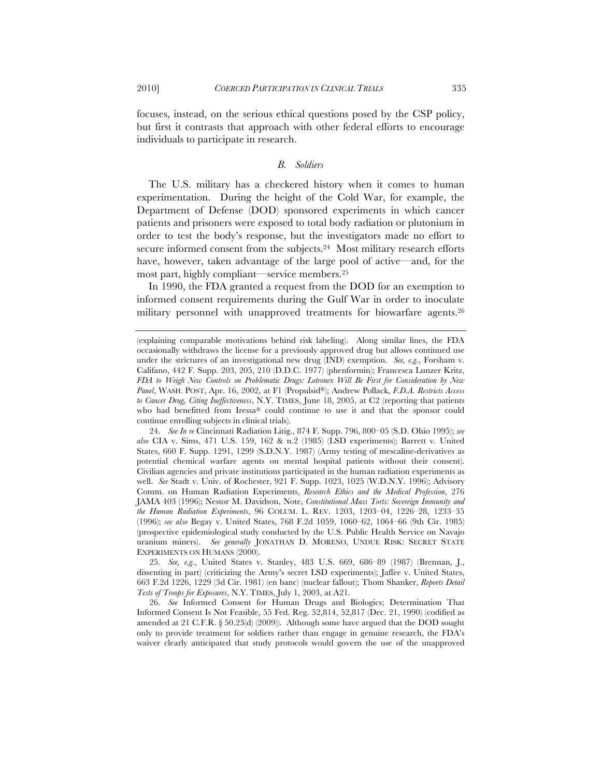focuses, instead, on the serious ethical questions posed by the CSP policy, but first it contrasts that approach with other federal efforts to encourage individuals to participate in research.

#### *B. Soldiers*

The U.S. military has a checkered history when it comes to human experimentation. During the height of the Cold War, for example, the Department of Defense (DOD) sponsored experiments in which cancer patients and prisoners were exposed to total body radiation or plutonium in order to test the body's response, but the investigators made no effort to secure informed consent from the subjects.<sup>24</sup> Most military research efforts have, however, taken advantage of the large pool of active—and, for the most part, highly compliant—service members.25

In 1990, the FDA granted a request from the DOD for an exemption to informed consent requirements during the Gulf War in order to inoculate military personnel with unapproved treatments for biowarfare agents.26

25. *See, e.g.*, United States v. Stanley, 483 U.S. 669, 686–89 (1987) (Brennan, J., dissenting in part) (criticizing the Army's secret LSD experiments); Jaffee v. United States, 663 F.2d 1226, 1229 (3d Cir. 1981) (en banc) (nuclear fallout); Thom Shanker, *Reports Detail Tests of Troops for Exposures*, N.Y. TIMES, July 1, 2003, at A21.

<sup>(</sup>explaining comparable motivations behind risk labeling). Along similar lines, the FDA occasionally withdraws the license for a previously approved drug but allows continued use under the strictures of an investigational new drug (IND) exemption. *See, e.g.*, Forsham v. Califano, 442 F. Supp. 203, 205, 210 (D.D.C. 1977) (phenformin); Francesca Lunzer Kritz, *FDA to Weigh New Controls on Problematic Drugs: Lotronex Will Be First for Consideration by New Panel*, WASH. POST, Apr. 16, 2002, at F1 (Propulsid®); Andrew Pollack, *F.D.A. Restricts Access to Cancer Drug, Citing Ineffectiveness*, N.Y. TIMES, June 18, 2005, at C2 (reporting that patients who had benefitted from Iressa® could continue to use it and that the sponsor could continue enrolling subjects in clinical trials).

<sup>24.</sup> *See In re* Cincinnati Radiation Litig., 874 F. Supp. 796, 800–05 (S.D. Ohio 1995); *see also* CIA v. Sims, 471 U.S. 159, 162 & n.2 (1985) (LSD experiments); Barrett v. United States, 660 F. Supp. 1291, 1299 (S.D.N.Y. 1987) (Army testing of mescaline-derivatives as potential chemical warfare agents on mental hospital patients without their consent). Civilian agencies and private institutions participated in the human radiation experiments as well. *See* Stadt v. Univ. of Rochester, 921 F. Supp. 1023, 1025 (W.D.N.Y. 1996); Advisory Comm. on Human Radiation Experiments, *Research Ethics and the Medical Profession*, 276 JAMA 403 (1996); Nestor M. Davidson, Note, *Constitutional Mass Torts: Sovereign Immunity and the Human Radiation Experiments*, 96 COLUM. L. REV. 1203, 1203–04, 1226–28, 1233–35 (1996); *see also* Begay v. United States, 768 F.2d 1059, 1060–62, 1064–66 (9th Cir. 1985) (prospective epidemiological study conducted by the U.S. Public Health Service on Navajo uranium miners). *See generally* JONATHAN D. MORENO, UNDUE RISK: SECRET STATE EXPERIMENTS ON HUMANS (2000).

<sup>26.</sup> *See* Informed Consent for Human Drugs and Biologics; Determination That Informed Consent Is Not Feasible, 55 Fed. Reg. 52,814, 52,817 (Dec. 21, 1990) (codified as amended at 21 C.F.R. § 50.23(d) (2009)). Although some have argued that the DOD sought only to provide treatment for soldiers rather than engage in genuine research, the FDA's waiver clearly anticipated that study protocols would govern the use of the unapproved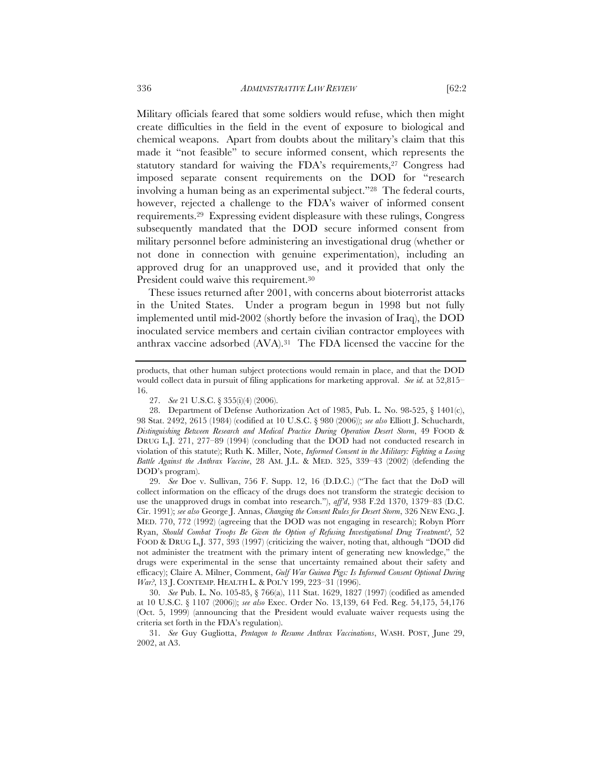Military officials feared that some soldiers would refuse, which then might create difficulties in the field in the event of exposure to biological and chemical weapons. Apart from doubts about the military's claim that this made it "not feasible" to secure informed consent, which represents the statutory standard for waiving the FDA's requirements,27 Congress had imposed separate consent requirements on the DOD for "research involving a human being as an experimental subject."28 The federal courts, however, rejected a challenge to the FDA's waiver of informed consent requirements.29 Expressing evident displeasure with these rulings, Congress subsequently mandated that the DOD secure informed consent from military personnel before administering an investigational drug (whether or not done in connection with genuine experimentation), including an approved drug for an unapproved use, and it provided that only the President could waive this requirement.<sup>30</sup>

These issues returned after 2001, with concerns about bioterrorist attacks in the United States. Under a program begun in 1998 but not fully implemented until mid-2002 (shortly before the invasion of Iraq), the DOD inoculated service members and certain civilian contractor employees with anthrax vaccine adsorbed (AVA).31 The FDA licensed the vaccine for the

29. *See* Doe v. Sullivan, 756 F. Supp. 12, 16 (D.D.C.) ("The fact that the DoD will collect information on the efficacy of the drugs does not transform the strategic decision to use the unapproved drugs in combat into research."), *aff'd*, 938 F.2d 1370, 1379–83 (D.C. Cir. 1991); *see also* George J. Annas, *Changing the Consent Rules for Desert Storm*, 326 NEW ENG. J. MED. 770, 772 (1992) (agreeing that the DOD was not engaging in research); Robyn Pforr Ryan, *Should Combat Troops Be Given the Option of Refusing Investigational Drug Treatment?*, 52 FOOD & DRUG L.J. 377, 393 (1997) (criticizing the waiver, noting that, although "DOD did not administer the treatment with the primary intent of generating new knowledge," the drugs were experimental in the sense that uncertainty remained about their safety and efficacy); Claire A. Milner, Comment, *Gulf War Guinea Pigs: Is Informed Consent Optional During War?*, 13 J. CONTEMP. HEALTH L. & POL'Y 199, 223–31 (1996).

30. *See* Pub. L. No. 105-85, § 766(a), 111 Stat. 1629, 1827 (1997) (codified as amended at 10 U.S.C. § 1107 (2006)); *see also* Exec. Order No. 13,139, 64 Fed. Reg. 54,175, 54,176 (Oct. 5, 1999) (announcing that the President would evaluate waiver requests using the criteria set forth in the FDA's regulation).

31. *See* Guy Gugliotta, *Pentagon to Resume Anthrax Vaccinations*, WASH. POST, June 29, 2002, at A3.

products, that other human subject protections would remain in place, and that the DOD would collect data in pursuit of filing applications for marketing approval. *See id.* at 52,815– 16.

<sup>27.</sup> *See* 21 U.S.C. § 355(i)(4) (2006).

<sup>28.</sup> Department of Defense Authorization Act of 1985, Pub. L. No. 98-525, § 1401(c), 98 Stat. 2492, 2615 (1984) (codified at 10 U.S.C. § 980 (2006)); *see also* Elliott J. Schuchardt, *Distinguishing Between Research and Medical Practice During Operation Desert Storm*, 49 FOOD & DRUG L.J. 271, 277–89 (1994) (concluding that the DOD had not conducted research in violation of this statute); Ruth K. Miller, Note, *Informed Consent in the Military: Fighting a Losing Battle Against the Anthrax Vaccine*, 28 AM. J.L. & MED. 325, 339–43 (2002) (defending the DOD's program).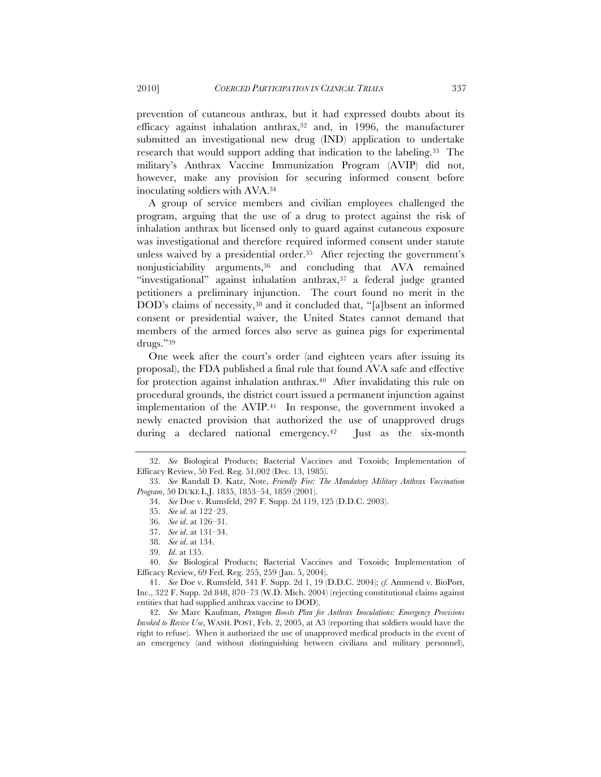prevention of cutaneous anthrax, but it had expressed doubts about its efficacy against inhalation anthrax, $32$  and, in 1996, the manufacturer submitted an investigational new drug (IND) application to undertake research that would support adding that indication to the labeling.33 The military's Anthrax Vaccine Immunization Program (AVIP) did not, however, make any provision for securing informed consent before inoculating soldiers with AVA.34

A group of service members and civilian employees challenged the program, arguing that the use of a drug to protect against the risk of inhalation anthrax but licensed only to guard against cutaneous exposure was investigational and therefore required informed consent under statute unless waived by a presidential order.35 After rejecting the government's nonjusticiability arguments,36 and concluding that AVA remained "investigational" against inhalation anthrax,<sup>37</sup> a federal judge granted petitioners a preliminary injunction. The court found no merit in the DOD's claims of necessity,<sup>38</sup> and it concluded that, "[a]bsent an informed consent or presidential waiver, the United States cannot demand that members of the armed forces also serve as guinea pigs for experimental drugs."39

One week after the court's order (and eighteen years after issuing its proposal), the FDA published a final rule that found AVA safe and effective for protection against inhalation anthrax.<sup>40</sup> After invalidating this rule on procedural grounds, the district court issued a permanent injunction against implementation of the AVIP.41 In response, the government invoked a newly enacted provision that authorized the use of unapproved drugs during a declared national emergency.<sup>42</sup> Iust as the six-month

42. *See* Marc Kaufman, *Pentagon Boosts Plan for Anthrax Inoculations: Emergency Provisions Invoked to Revive Use*, WASH. POST, Feb. 2, 2005, at A3 (reporting that soldiers would have the right to refuse). When it authorized the use of unapproved medical products in the event of an emergency (and without distinguishing between civilians and military personnel),

<sup>32.</sup> *See* Biological Products; Bacterial Vaccines and Toxoids; Implementation of Efficacy Review, 50 Fed. Reg. 51,002 (Dec. 13, 1985).

<sup>33.</sup> *See* Randall D. Katz, Note, *Friendly Fire: The Mandatory Military Anthrax Vaccination Program*, 50 DUKE L.J. 1835, 1853–54, 1859 (2001).

<sup>34.</sup> *See* Doe v. Rumsfeld, 297 F. Supp. 2d 119, 125 (D.D.C. 2003).

<sup>35.</sup> *See id*. at 122–23.

<sup>36.</sup> *See id*. at 126–31.

<sup>37.</sup> *See id*. at 131–34.

<sup>38.</sup> *See id*. at 134.

<sup>39.</sup> *Id*. at 135.

<sup>40.</sup> *See* Biological Products; Bacterial Vaccines and Toxoids; Implementation of Efficacy Review, 69 Fed. Reg. 255, 259 (Jan. 5, 2004).

<sup>41.</sup> *See* Doe v. Rumsfeld, 341 F. Supp. 2d 1, 19 (D.D.C. 2004); *cf.* Ammend v. BioPort, Inc., 322 F. Supp. 2d 848, 870–73 (W.D. Mich. 2004) (rejecting constitutional claims against entities that had supplied anthrax vaccine to DOD).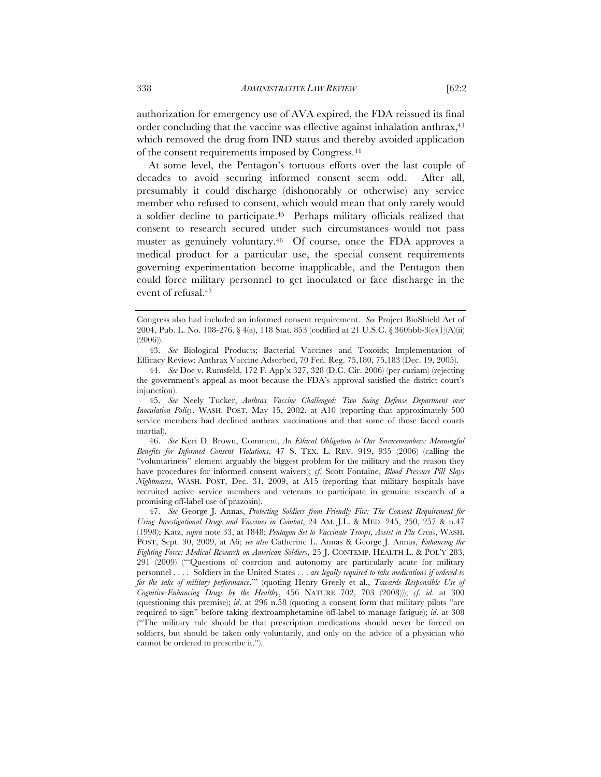authorization for emergency use of AVA expired, the FDA reissued its final order concluding that the vaccine was effective against inhalation anthrax,43 which removed the drug from IND status and thereby avoided application of the consent requirements imposed by Congress.44

At some level, the Pentagon's tortuous efforts over the last couple of decades to avoid securing informed consent seem odd. After all, presumably it could discharge (dishonorably or otherwise) any service member who refused to consent, which would mean that only rarely would a soldier decline to participate.45 Perhaps military officials realized that consent to research secured under such circumstances would not pass muster as genuinely voluntary.46 Of course, once the FDA approves a medical product for a particular use, the special consent requirements governing experimentation become inapplicable, and the Pentagon then could force military personnel to get inoculated or face discharge in the event of refusal.47

45. *See* Neely Tucker, *Anthrax Vaccine Challenged: Two Suing Defense Department over Inoculation Policy*, WASH. POST, May 15, 2002, at A10 (reporting that approximately 500 service members had declined anthrax vaccinations and that some of those faced courts martial).

46. *See* Keri D. Brown, Comment, *An Ethical Obligation to Our Servicemembers: Meaningful Benefits for Informed Consent Violations*, 47 S. TEX. L. REV. 919, 935 (2006) (calling the "voluntariness" element arguably the biggest problem for the military and the reason they have procedures for informed consent waivers); *cf*. Scott Fontaine, *Blood Pressure Pill Slays Nightmares*, WASH. POST, Dec. 31, 2009, at A15 (reporting that military hospitals have recruited active service members and veterans to participate in genuine research of a promising off-label use of prazosin).

47. *See* George J. Annas, *Protecting Soldiers from Friendly Fire: The Consent Requirement for Using Investigational Drugs and Vaccines in Combat*, 24 AM. J.L. & MED. 245, 250, 257 & n.47 (1998); Katz, *supra* note 33, at 1848; *Pentagon Set to Vaccinate Troops, Assist in Flu Crisis*, WASH. POST, Sept. 30, 2009, at A6; *see also* Catherine L. Annas & George J. Annas, *Enhancing the Fighting Force: Medical Research on American Soldiers*, 25 J. CONTEMP. HEALTH L. & POL'Y 283, 291 (2009) ("'Questions of coercion and autonomy are particularly acute for military personnel . . . . Soldiers in the United States . . . *are legally required to take medications if ordered to for the sake of military performance*.'" (quoting Henry Greely et al., *Towards Responsible Use of Cognitive-Enhancing Drugs by the Healthy*, 456 NATURE 702, 703 (2008))); *cf*. *id*. at 300 (questioning this premise); *id*. at 296 n.58 (quoting a consent form that military pilots "are required to sign" before taking dextroamphetamine off-label to manage fatigue); *id*. at 308 ("The military rule should be that prescription medications should never be forced on soldiers, but should be taken only voluntarily, and only on the advice of a physician who cannot be ordered to prescribe it.").

Congress also had included an informed consent requirement. *See* Project BioShield Act of 2004, Pub. L. No. 108-276, § 4(a), 118 Stat. 853 (codified at 21 U.S.C. § 360bbb-3(e)(1)(A)(ii) (2006)).

<sup>43.</sup> *See* Biological Products; Bacterial Vaccines and Toxoids; Implementation of Efficacy Review; Anthrax Vaccine Adsorbed, 70 Fed. Reg. 75,180, 75,183 (Dec. 19, 2005).

<sup>44.</sup> *See* Doe v. Rumsfeld, 172 F. App'x 327, 328 (D.C. Cir. 2006) (per curiam) (rejecting the government's appeal as moot because the FDA's approval satisfied the district court's injunction).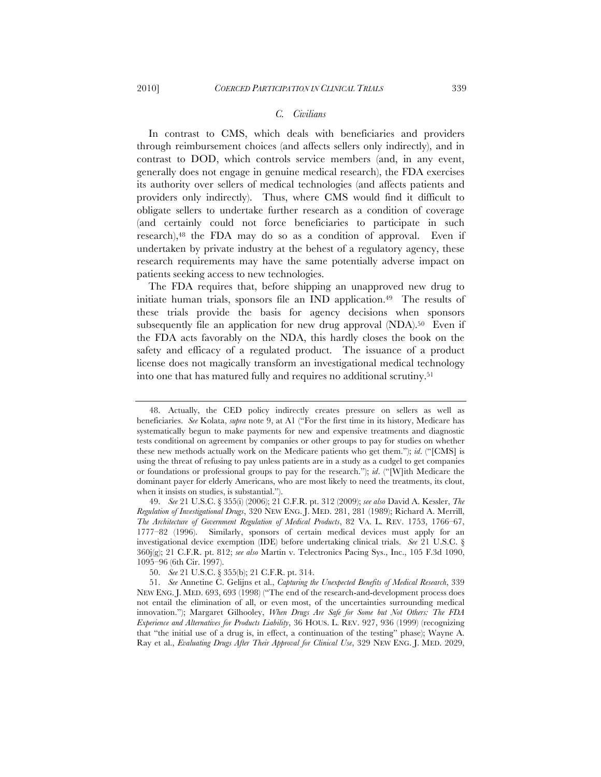### *C. Civilians*

In contrast to CMS, which deals with beneficiaries and providers through reimbursement choices (and affects sellers only indirectly), and in contrast to DOD, which controls service members (and, in any event, generally does not engage in genuine medical research), the FDA exercises its authority over sellers of medical technologies (and affects patients and providers only indirectly). Thus, where CMS would find it difficult to obligate sellers to undertake further research as a condition of coverage (and certainly could not force beneficiaries to participate in such research),<sup>48</sup> the FDA may do so as a condition of approval. Even if undertaken by private industry at the behest of a regulatory agency, these research requirements may have the same potentially adverse impact on patients seeking access to new technologies.

The FDA requires that, before shipping an unapproved new drug to initiate human trials, sponsors file an IND application.<sup>49</sup> The results of these trials provide the basis for agency decisions when sponsors subsequently file an application for new drug approval (NDA).<sup>50</sup> Even if the FDA acts favorably on the NDA, this hardly closes the book on the safety and efficacy of a regulated product. The issuance of a product license does not magically transform an investigational medical technology into one that has matured fully and requires no additional scrutiny.51

<sup>48.</sup> Actually, the CED policy indirectly creates pressure on sellers as well as beneficiaries. *See* Kolata, *supra* note 9, at A1 ("For the first time in its history, Medicare has systematically begun to make payments for new and expensive treatments and diagnostic tests conditional on agreement by companies or other groups to pay for studies on whether these new methods actually work on the Medicare patients who get them."); *id*. ("[CMS] is using the threat of refusing to pay unless patients are in a study as a cudgel to get companies or foundations or professional groups to pay for the research."); *id*. ("[W]ith Medicare the dominant payer for elderly Americans, who are most likely to need the treatments, its clout, when it insists on studies, is substantial.").

<sup>49.</sup> *See* 21 U.S.C. § 355(i) (2006); 21 C.F.R. pt. 312 (2009); *see also* David A. Kessler, *The Regulation of Investigational Drugs*, 320 NEW ENG. J. MED. 281, 281 (1989); Richard A. Merrill, *The Architecture of Government Regulation of Medical Products*, 82 VA. L. REV. 1753, 1766–67, 1777–82 (1996). Similarly, sponsors of certain medical devices must apply for an investigational device exemption (IDE) before undertaking clinical trials. *See* 21 U.S.C. § 360j(g); 21 C.F.R. pt. 812; *see also* Martin v. Telectronics Pacing Sys., Inc., 105 F.3d 1090, 1095–96 (6th Cir. 1997).

<sup>50.</sup> *See* 21 U.S.C. § 355(b); 21 C.F.R. pt. 314.

<sup>51.</sup> *See* Annetine C. Gelijns et al., *Capturing the Unexpected Benefits of Medical Research*, 339 NEW ENG. J. MED. 693, 693 (1998) ("The end of the research-and-development process does not entail the elimination of all, or even most, of the uncertainties surrounding medical innovation."); Margaret Gilhooley, *When Drugs Are Safe for Some but Not Others: The FDA Experience and Alternatives for Products Liability*, 36 HOUS. L. REV. 927, 936 (1999) (recognizing that "the initial use of a drug is, in effect, a continuation of the testing" phase); Wayne A. Ray et al., *Evaluating Drugs After Their Approval for Clinical Use*, 329 NEW ENG. J. MED. 2029,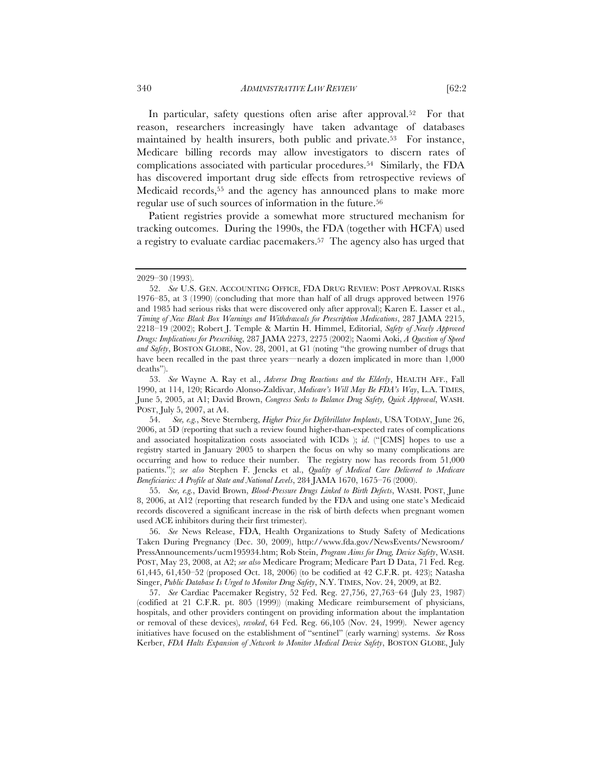In particular, safety questions often arise after approval.<sup>52</sup> For that reason, researchers increasingly have taken advantage of databases maintained by health insurers, both public and private.53 For instance, Medicare billing records may allow investigators to discern rates of complications associated with particular procedures.54 Similarly, the FDA has discovered important drug side effects from retrospective reviews of Medicaid records,55 and the agency has announced plans to make more regular use of such sources of information in the future.56

Patient registries provide a somewhat more structured mechanism for tracking outcomes. During the 1990s, the FDA (together with HCFA) used a registry to evaluate cardiac pacemakers.57 The agency also has urged that

<sup>2029–30 (1993).</sup>

<sup>52.</sup> *See* U.S. GEN. ACCOUNTING OFFICE, FDA DRUG REVIEW: POST APPROVAL RISKS 1976–85, at 3 (1990) (concluding that more than half of all drugs approved between 1976 and 1985 had serious risks that were discovered only after approval); Karen E. Lasser et al., *Timing of New Black Box Warnings and Withdrawals for Prescription Medications*, 287 JAMA 2215, 2218–19 (2002); Robert J. Temple & Martin H. Himmel, Editorial, *Safety of Newly Approved Drugs: Implications for Prescribing*, 287 JAMA 2273, 2275 (2002); Naomi Aoki, *A Question of Speed and Safety*, BOSTON GLOBE, Nov. 28, 2001, at G1 (noting "the growing number of drugs that have been recalled in the past three years—nearly a dozen implicated in more than  $1,000$ deaths").

<sup>53.</sup> *See* Wayne A. Ray et al., *Adverse Drug Reactions and the Elderly*, HEALTH AFF., Fall 1990, at 114, 120; Ricardo Alonso-Zaldivar, *Medicare's Will May Be FDA's Way*, L.A. TIMES, June 5, 2005, at A1; David Brown, *Congress Seeks to Balance Drug Safety, Quick Approval*, WASH. POST, July 5, 2007, at A4.

<sup>54.</sup> *See, e.g.*, Steve Sternberg, *Higher Price for Defibrillator Implants*, USA TODAY, June 26, 2006, at 5D (reporting that such a review found higher-than-expected rates of complications and associated hospitalization costs associated with ICDs ); *id*. ("[CMS] hopes to use a registry started in January 2005 to sharpen the focus on why so many complications are occurring and how to reduce their number. The registry now has records from 51,000 patients."); *see also* Stephen F. Jencks et al., *Quality of Medical Care Delivered to Medicare Beneficiaries: A Profile at State and National Levels*, 284 JAMA 1670, 1675–76 (2000).

<sup>55.</sup> *See, e.g.*, David Brown, *Blood-Pressure Drugs Linked to Birth Defects*, WASH. POST, June 8, 2006, at A12 (reporting that research funded by the FDA and using one state's Medicaid records discovered a significant increase in the risk of birth defects when pregnant women used ACE inhibitors during their first trimester).

<sup>56.</sup> *See* News Release, FDA, Health Organizations to Study Safety of Medications Taken During Pregnancy (Dec. 30, 2009), http://www.fda.gov/NewsEvents/Newsroom/ PressAnnouncements/ucm195934.htm; Rob Stein, *Program Aims for Drug, Device Safety*, WASH. POST, May 23, 2008, at A2; *see also* Medicare Program; Medicare Part D Data, 71 Fed. Reg. 61,445, 61,450–52 (proposed Oct. 18, 2006) (to be codified at 42 C.F.R. pt. 423); Natasha Singer, *Public Database Is Urged to Monitor Drug Safety*, N.Y. TIMES, Nov. 24, 2009, at B2.

<sup>57.</sup> *See* Cardiac Pacemaker Registry, 52 Fed. Reg. 27,756, 27,763–64 (July 23, 1987) (codified at 21 C.F.R. pt. 805 (1999)) (making Medicare reimbursement of physicians, hospitals, and other providers contingent on providing information about the implantation or removal of these devices), *revoked*, 64 Fed. Reg. 66,105 (Nov. 24, 1999). Newer agency initiatives have focused on the establishment of "sentinel" (early warning) systems. *See* Ross Kerber, *FDA Halts Expansion of Network to Monitor Medical Device Safety*, BOSTON GLOBE, July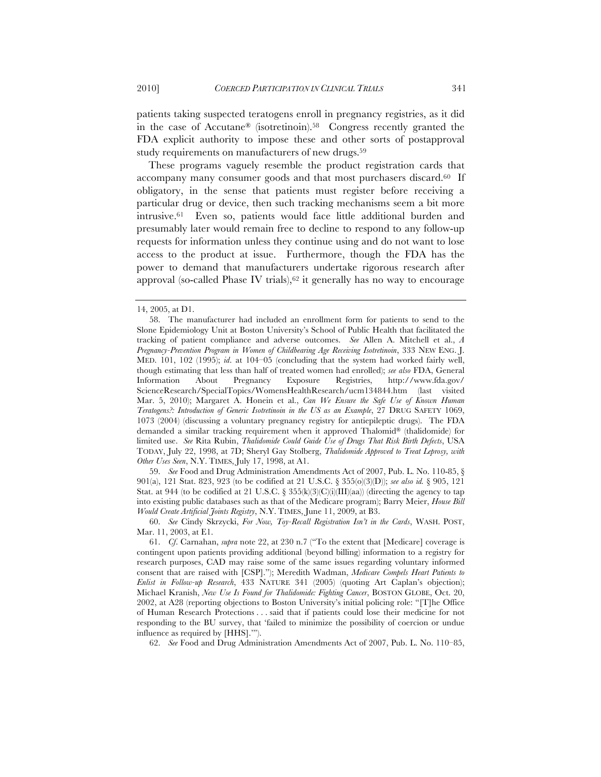patients taking suspected teratogens enroll in pregnancy registries, as it did in the case of Accutane® (isotretinoin).58 Congress recently granted the FDA explicit authority to impose these and other sorts of postapproval study requirements on manufacturers of new drugs.<sup>59</sup>

These programs vaguely resemble the product registration cards that accompany many consumer goods and that most purchasers discard.60 If obligatory, in the sense that patients must register before receiving a particular drug or device, then such tracking mechanisms seem a bit more intrusive.61 Even so, patients would face little additional burden and presumably later would remain free to decline to respond to any follow-up requests for information unless they continue using and do not want to lose access to the product at issue. Furthermore, though the FDA has the power to demand that manufacturers undertake rigorous research after approval (so-called Phase IV trials), $62$  it generally has no way to encourage

59. *See* Food and Drug Administration Amendments Act of 2007, Pub. L. No. 110-85, § 901(a), 121 Stat. 823, 923 (to be codified at 21 U.S.C. § 355(o)(3)(D)); *see also id.* § 905, 121 Stat. at 944 (to be codified at 21 U.S.C. § 355(k)(3)(C)(i)(III)(aa)) (directing the agency to tap into existing public databases such as that of the Medicare program); Barry Meier, *House Bill Would Create Artificial Joints Registry*, N.Y. TIMES, June 11, 2009, at B3.

62. *See* Food and Drug Administration Amendments Act of 2007, Pub. L. No. 110–85,

<sup>14, 2005,</sup> at D1.

<sup>58.</sup> The manufacturer had included an enrollment form for patients to send to the Slone Epidemiology Unit at Boston University's School of Public Health that facilitated the tracking of patient compliance and adverse outcomes. *See* Allen A. Mitchell et al., *A Pregnancy-Prevention Program in Women of Childbearing Age Receiving Isotretinoin*, 333 NEW ENG. J. MED. 101, 102 (1995); *id*. at 104–05 (concluding that the system had worked fairly well, though estimating that less than half of treated women had enrolled); *see also* FDA, General Information About Pregnancy Exposure Registries, http://www.fda.gov/ ScienceResearch/SpecialTopics/WomensHealthResearch/ucm134844.htm (last visited Mar. 5, 2010); Margaret A. Honein et al., *Can We Ensure the Safe Use of Known Human Teratogens?: Introduction of Generic Isotretinoin in the US as an Example*, 27 DRUG SAFETY 1069, 1073 (2004) (discussing a voluntary pregnancy registry for antiepileptic drugs). The FDA demanded a similar tracking requirement when it approved Thalomid® (thalidomide) for limited use. *See* Rita Rubin, *Thalidomide Could Guide Use of Drugs That Risk Birth Defects*, USA TODAY, July 22, 1998, at 7D; Sheryl Gay Stolberg, *Thalidomide Approved to Treat Leprosy, with Other Uses Seen*, N.Y. TIMES, July 17, 1998, at A1.

<sup>60.</sup> *See* Cindy Skrzycki, *For Now, Toy-Recall Registration Isn't in the Cards*, WASH. POST, Mar. 11, 2003, at E1.

<sup>61.</sup> *Cf*. Carnahan, *supra* note 22, at 230 n.7 ("To the extent that [Medicare] coverage is contingent upon patients providing additional (beyond billing) information to a registry for research purposes, CAD may raise some of the same issues regarding voluntary informed consent that are raised with [CSP]."); Meredith Wadman, *Medicare Compels Heart Patients to Enlist in Follow-up Research*, 433 NATURE 341 (2005) (quoting Art Caplan's objection); Michael Kranish, *New Use Is Found for Thalidomide: Fighting Cancer*, BOSTON GLOBE, Oct. 20, 2002, at A28 (reporting objections to Boston University's initial policing role: "[T]he Office of Human Research Protections . . . said that if patients could lose their medicine for not responding to the BU survey, that 'failed to minimize the possibility of coercion or undue influence as required by [HHS].'").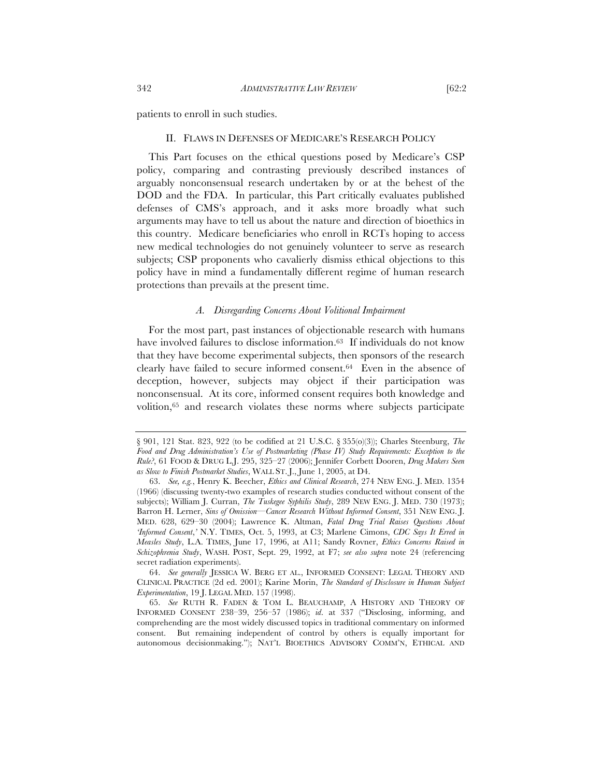patients to enroll in such studies.

#### II. FLAWS IN DEFENSES OF MEDICARE'S RESEARCH POLICY

This Part focuses on the ethical questions posed by Medicare's CSP policy, comparing and contrasting previously described instances of arguably nonconsensual research undertaken by or at the behest of the DOD and the FDA. In particular, this Part critically evaluates published defenses of CMS's approach, and it asks more broadly what such arguments may have to tell us about the nature and direction of bioethics in this country. Medicare beneficiaries who enroll in RCTs hoping to access new medical technologies do not genuinely volunteer to serve as research subjects; CSP proponents who cavalierly dismiss ethical objections to this policy have in mind a fundamentally different regime of human research protections than prevails at the present time.

#### *A. Disregarding Concerns About Volitional Impairment*

For the most part, past instances of objectionable research with humans have involved failures to disclose information.<sup>63</sup> If individuals do not know that they have become experimental subjects, then sponsors of the research clearly have failed to secure informed consent.64 Even in the absence of deception, however, subjects may object if their participation was nonconsensual. At its core, informed consent requires both knowledge and volition,65 and research violates these norms where subjects participate

64. *See generally* JESSICA W. BERG ET AL., INFORMED CONSENT: LEGAL THEORY AND CLINICAL PRACTICE (2d ed. 2001); Karine Morin, *The Standard of Disclosure in Human Subject Experimentation*, 19 J. LEGAL MED. 157 (1998).

<sup>§ 901, 121</sup> Stat. 823, 922 (to be codified at 21 U.S.C. § 355(o)(3)); Charles Steenburg, *The*  Food and Drug Administration's Use of Postmarketing (Phase IV) Study Requirements: Exception to the *Rule?*, 61 FOOD & DRUG L.J. 295, 325–27 (2006); Jennifer Corbett Dooren, *Drug Makers Seen as Slow to Finish Postmarket Studies*, WALL ST. J., June 1, 2005, at D4.

<sup>63.</sup> *See, e.g.*, Henry K. Beecher, *Ethics and Clinical Research*, 274 NEW ENG. J. MED. 1354 (1966) (discussing twenty-two examples of research studies conducted without consent of the subjects); William J. Curran, *The Tuskegee Syphilis Study*, 289 NEW ENG. J. MED. 730 (1973); Barron H. Lerner, *Sins of Omission—Cancer Research Without Informed Consent*, 351 NEW ENG. J. MED. 628, 629–30 (2004); Lawrence K. Altman, *Fatal Drug Trial Raises Questions About 'Informed Consent*,*'* N.Y. TIMES, Oct. 5, 1993, at C3; Marlene Cimons, *CDC Says It Erred in Measles Study*, L.A. TIMES, June 17, 1996, at A11; Sandy Rovner, *Ethics Concerns Raised in Schizophrenia Study*, WASH. POST, Sept. 29, 1992, at F7; *see also supra* note 24 (referencing secret radiation experiments).

<sup>65.</sup> *See* RUTH R. FADEN & TOM L. BEAUCHAMP, A HISTORY AND THEORY OF INFORMED CONSENT 238–39, 256–57 (1986); *id*. at 337 ("Disclosing, informing, and comprehending are the most widely discussed topics in traditional commentary on informed consent. But remaining independent of control by others is equally important for autonomous decisionmaking."); NAT'L BIOETHICS ADVISORY COMM'N, ETHICAL AND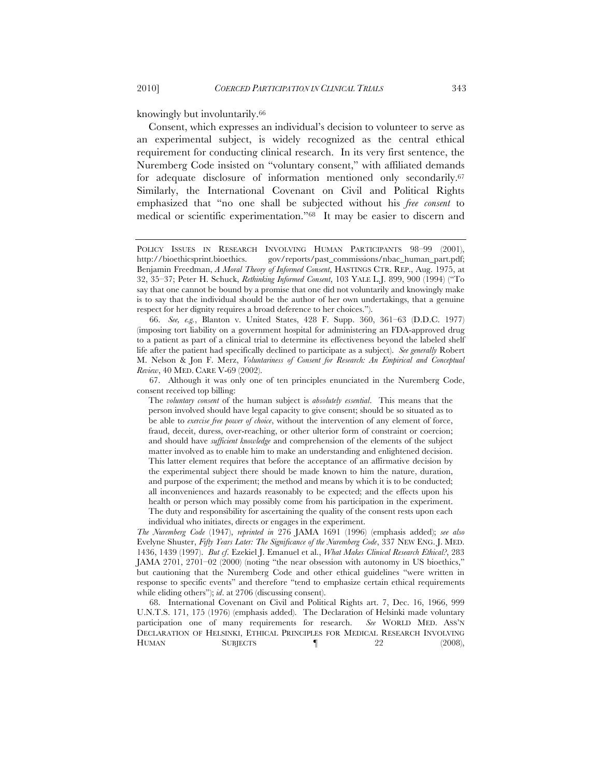knowingly but involuntarily.66

Consent, which expresses an individual's decision to volunteer to serve as an experimental subject, is widely recognized as the central ethical requirement for conducting clinical research. In its very first sentence, the Nuremberg Code insisted on "voluntary consent," with affiliated demands for adequate disclosure of information mentioned only secondarily.67 Similarly, the International Covenant on Civil and Political Rights emphasized that "no one shall be subjected without his *free consent* to medical or scientific experimentation."68 It may be easier to discern and

66. *See, e.g.*, Blanton v. United States, 428 F. Supp. 360, 361–63 (D.D.C. 1977) (imposing tort liability on a government hospital for administering an FDA-approved drug to a patient as part of a clinical trial to determine its effectiveness beyond the labeled shelf life after the patient had specifically declined to participate as a subject). *See generally* Robert M. Nelson & Jon F. Merz, *Voluntariness of Consent for Research: An Empirical and Conceptual Review*, 40 MED. CARE V-69 (2002).

The *voluntary consent* of the human subject is *absolutely essential*. This means that the person involved should have legal capacity to give consent; should be so situated as to be able to *exercise free power of choice*, without the intervention of any element of force, fraud, deceit, duress, over-reaching, or other ulterior form of constraint or coercion; and should have *sufficient knowledge* and comprehension of the elements of the subject matter involved as to enable him to make an understanding and enlightened decision. This latter element requires that before the acceptance of an affirmative decision by the experimental subject there should be made known to him the nature, duration, and purpose of the experiment; the method and means by which it is to be conducted; all inconveniences and hazards reasonably to be expected; and the effects upon his health or person which may possibly come from his participation in the experiment. The duty and responsibility for ascertaining the quality of the consent rests upon each individual who initiates, directs or engages in the experiment.

*The Nuremberg Code* (1947), *reprinted in* 276 JAMA 1691 (1996) (emphasis added); *see also* Evelyne Shuster, *Fifty Years Later: The Significance of the Nuremberg Code*, 337 NEW ENG. J. MED. 1436, 1439 (1997). *But cf*. Ezekiel J. Emanuel et al., *What Makes Clinical Research Ethical?*, 283 JAMA 2701, 2701–02 (2000) (noting "the near obsession with autonomy in US bioethics," but cautioning that the Nuremberg Code and other ethical guidelines "were written in response to specific events" and therefore "tend to emphasize certain ethical requirements while eliding others"); *id*. at 2706 (discussing consent).

68. International Covenant on Civil and Political Rights art. 7, Dec. 16, 1966, 999 U.N.T.S. 171, 175 (1976) (emphasis added). The Declaration of Helsinki made voluntary participation one of many requirements for research. *See* WORLD MED. ASS'N DECLARATION OF HELSINKI, ETHICAL PRINCIPLES FOR MEDICAL RESEARCH INVOLVING HUMAN SUBJECTS **[** 22 (2008),

POLICY ISSUES IN RESEARCH INVOLVING HUMAN PARTICIPANTS 98–99 (2001), http://bioethicsprint.bioethics. gov/reports/past\_commissions/nbac\_human\_part.pdf; Benjamin Freedman, *A Moral Theory of Informed Consent*, HASTINGS CTR. REP., Aug. 1975, at 32, 35–37; Peter H. Schuck, *Rethinking Informed Consent*, 103 YALE L.J. 899, 900 (1994) ("To say that one cannot be bound by a promise that one did not voluntarily and knowingly make is to say that the individual should be the author of her own undertakings, that a genuine respect for her dignity requires a broad deference to her choices.").

<sup>67.</sup> Although it was only one of ten principles enunciated in the Nuremberg Code, consent received top billing: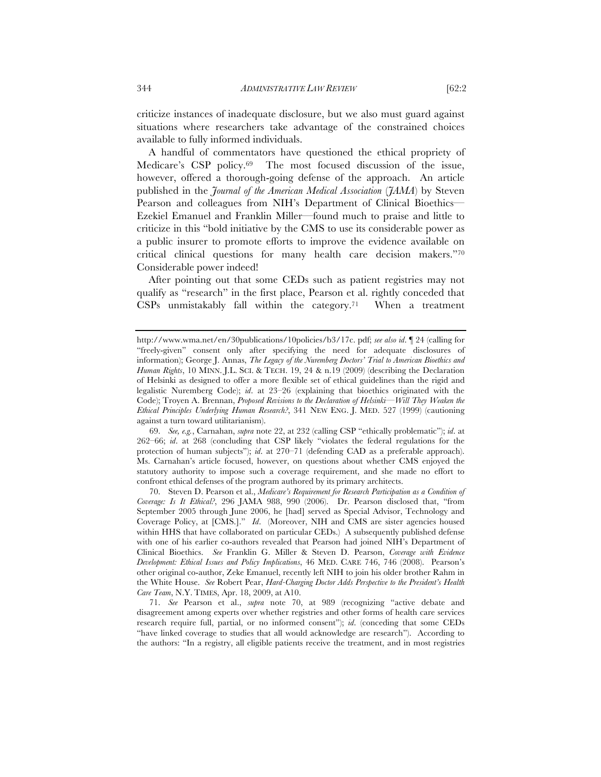criticize instances of inadequate disclosure, but we also must guard against situations where researchers take advantage of the constrained choices available to fully informed individuals.

A handful of commentators have questioned the ethical propriety of Medicare's CSP policy.69 The most focused discussion of the issue, however, offered a thorough-going defense of the approach. An article published in the *Journal of the American Medical Association* (*JAMA*) by Steven Pearson and colleagues from NIH's Department of Clinical Bioethics— Ezekiel Emanuel and Franklin Miller—found much to praise and little to criticize in this "bold initiative by the CMS to use its considerable power as a public insurer to promote efforts to improve the evidence available on critical clinical questions for many health care decision makers."70 Considerable power indeed!

After pointing out that some CEDs such as patient registries may not qualify as "research" in the first place, Pearson et al. rightly conceded that  $CSPs$  unmistakably fall within the category.<sup>71</sup> When a treatment

69. *See, e.g.*, Carnahan, *supra* note 22, at 232 (calling CSP "ethically problematic"); *id*. at 262–66; *id*. at 268 (concluding that CSP likely "violates the federal regulations for the protection of human subjects"); *id*. at 270–71 (defending CAD as a preferable approach). Ms. Carnahan's article focused, however, on questions about whether CMS enjoyed the statutory authority to impose such a coverage requirement, and she made no effort to confront ethical defenses of the program authored by its primary architects.

70. Steven D. Pearson et al., *Medicare's Requirement for Research Participation as a Condition of Coverage: Is It Ethical?*, 296 JAMA 988, 990 (2006). Dr. Pearson disclosed that, "from September 2005 through June 2006, he [had] served as Special Advisor, Technology and Coverage Policy, at [CMS.]." *Id*. (Moreover, NIH and CMS are sister agencies housed within HHS that have collaborated on particular CEDs.) A subsequently published defense with one of his earlier co-authors revealed that Pearson had joined NIH's Department of Clinical Bioethics. *See* Franklin G. Miller & Steven D. Pearson, *Coverage with Evidence Development: Ethical Issues and Policy Implications*, 46 MED. CARE 746, 746 (2008). Pearson's other original co-author, Zeke Emanuel, recently left NIH to join his older brother Rahm in the White House. *See* Robert Pear, *Hard-Charging Doctor Adds Perspective to the President's Health Care Team*, N.Y. TIMES, Apr. 18, 2009, at A10.

71. *See* Pearson et al., *supra* note 70, at 989 (recognizing "active debate and disagreement among experts over whether registries and other forms of health care services research require full, partial, or no informed consent"); *id*. (conceding that some CEDs "have linked coverage to studies that all would acknowledge are research"). According to the authors: "In a registry, all eligible patients receive the treatment, and in most registries

http://www.wma.net/en/30publications/10policies/b3/17c. pdf; *see also id*. ¶ 24 (calling for "freely-given" consent only after specifying the need for adequate disclosures of information); George J. Annas, *The Legacy of the Nuremberg Doctors' Trial to American Bioethics and Human Rights*, 10 MINN. J.L. SCI. & TECH. 19, 24 & n.19 (2009) (describing the Declaration of Helsinki as designed to offer a more flexible set of ethical guidelines than the rigid and legalistic Nuremberg Code); *id*. at 23–26 (explaining that bioethics originated with the Code); Troyen A. Brennan, *Proposed Revisions to the Declaration of Helsinki—Will They Weaken the Ethical Principles Underlying Human Research?*, 341 NEW ENG. J. MED. 527 (1999) (cautioning against a turn toward utilitarianism).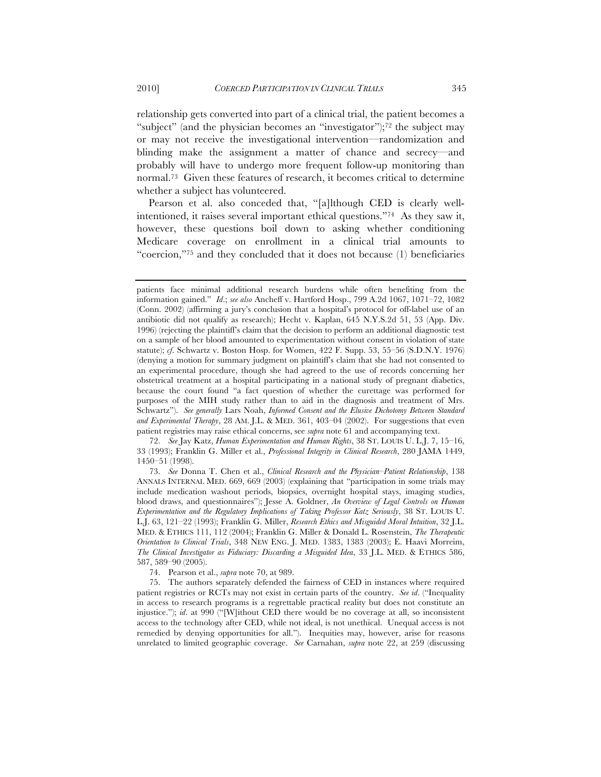relationship gets converted into part of a clinical trial, the patient becomes a

"subject" (and the physician becomes an "investigator");<sup>72</sup> the subject may or may not receive the investigational intervention—randomization and blinding make the assignment a matter of chance and secrecy—and probably will have to undergo more frequent follow-up monitoring than normal.73 Given these features of research, it becomes critical to determine whether a subject has volunteered.

Pearson et al. also conceded that, "[a]lthough CED is clearly wellintentioned, it raises several important ethical questions."74 As they saw it, however, these questions boil down to asking whether conditioning Medicare coverage on enrollment in a clinical trial amounts to "coercion,"75 and they concluded that it does not because (1) beneficiaries

72. *See* Jay Katz, *Human Experimentation and Human Rights*, 38 ST. LOUIS U. L.J. 7, 15–16, 33 (1993); Franklin G. Miller et al., *Professional Integrity in Clinical Research*, 280 JAMA 1449, 1450–51 (1998).

73. *See* Donna T. Chen et al., *Clinical Research and the Physician–Patient Relationship*, 138 ANNALS INTERNAL MED. 669, 669 (2003) (explaining that "participation in some trials may include medication washout periods, biopsies, overnight hospital stays, imaging studies, blood draws, and questionnaires"); Jesse A. Goldner, *An Overview of Legal Controls on Human Experimentation and the Regulatory Implications of Taking Professor Katz Seriously*, 38 ST. LOUIS U. L.J. 63, 121–22 (1993); Franklin G. Miller, *Research Ethics and Misguided Moral Intuition*, 32 J.L. MED. & ETHICS 111, 112 (2004); Franklin G. Miller & Donald L. Rosenstein, *The Therapeutic Orientation to Clinical Trials*, 348 NEW ENG. J. MED. 1383, 1383 (2003); E. Haavi Morreim, *The Clinical Investigator as Fiduciary: Discarding a Misguided Idea*, 33 J.L. MED. & ETHICS 586, 587, 589–90 (2005).

74. Pearson et al., *supra* note 70, at 989.

75. The authors separately defended the fairness of CED in instances where required patient registries or RCTs may not exist in certain parts of the country. *See id*. ("Inequality in access to research programs is a regrettable practical reality but does not constitute an injustice."); *id*. at 990 ("[W]ithout CED there would be no coverage at all, so inconsistent access to the technology after CED, while not ideal, is not unethical. Unequal access is not remedied by denying opportunities for all."). Inequities may, however, arise for reasons unrelated to limited geographic coverage. *See* Carnahan, *supra* note 22, at 259 (discussing

patients face minimal additional research burdens while often benefiting from the information gained." *Id*.; *see also* Ancheff v. Hartford Hosp., 799 A.2d 1067, 1071–72, 1082 (Conn. 2002) (affirming a jury's conclusion that a hospital's protocol for off-label use of an antibiotic did not qualify as research); Hecht v. Kaplan, 645 N.Y.S.2d 51, 53 (App. Div. 1996) (rejecting the plaintiff's claim that the decision to perform an additional diagnostic test on a sample of her blood amounted to experimentation without consent in violation of state statute); *cf*. Schwartz v. Boston Hosp. for Women, 422 F. Supp. 53, 55–56 (S.D.N.Y. 1976) (denying a motion for summary judgment on plaintiff's claim that she had not consented to an experimental procedure, though she had agreed to the use of records concerning her obstetrical treatment at a hospital participating in a national study of pregnant diabetics, because the court found "a fact question of whether the curettage was performed for purposes of the MIH study rather than to aid in the diagnosis and treatment of Mrs. Schwartz"). *See generally* Lars Noah, *Informed Consent and the Elusive Dichotomy Between Standard and Experimental Therapy*, 28 AM. J.L. & MED. 361, 403–04 (2002). For suggestions that even patient registries may raise ethical concerns, see *supra* note 61 and accompanying text.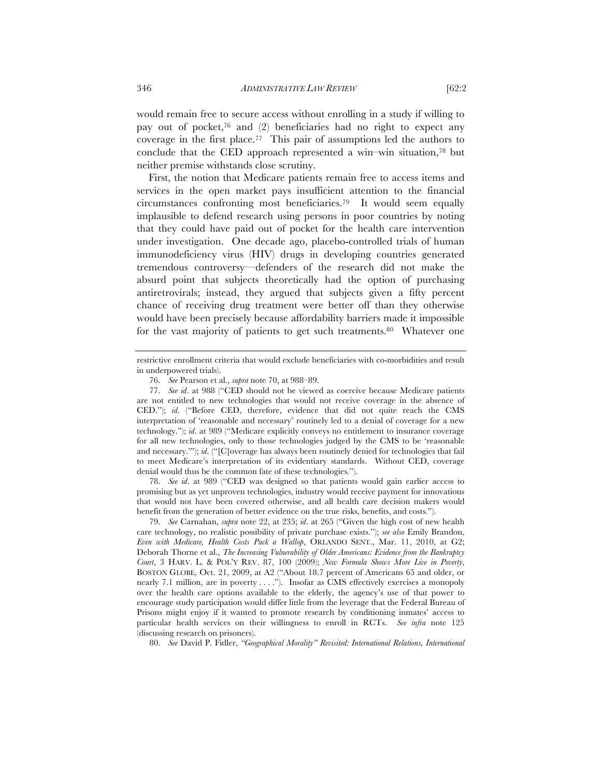would remain free to secure access without enrolling in a study if willing to pay out of pocket,<sup>76</sup> and  $(2)$  beneficiaries had no right to expect any coverage in the first place.77 This pair of assumptions led the authors to conclude that the CED approach represented a win–win situation,<sup>78</sup> but neither premise withstands close scrutiny.

First, the notion that Medicare patients remain free to access items and services in the open market pays insufficient attention to the financial circumstances confronting most beneficiaries.79 It would seem equally implausible to defend research using persons in poor countries by noting that they could have paid out of pocket for the health care intervention under investigation. One decade ago, placebo-controlled trials of human immunodeficiency virus (HIV) drugs in developing countries generated tremendous controversy—defenders of the research did not make the absurd point that subjects theoretically had the option of purchasing antiretrovirals; instead, they argued that subjects given a fifty percent chance of receiving drug treatment were better off than they otherwise would have been precisely because affordability barriers made it impossible for the vast majority of patients to get such treatments.80 Whatever one

78. *See id*. at 989 ("CED was designed so that patients would gain earlier access to promising but as yet unproven technologies, industry would receive payment for innovations that would not have been covered otherwise, and all health care decision makers would benefit from the generation of better evidence on the true risks, benefits, and costs.").

79. *See* Carnahan, *supra* note 22, at 235; *id*. at 265 ("Given the high cost of new health care technology, no realistic possibility of private purchase exists."); *see also* Emily Brandon, *Even with Medicare, Health Costs Pack a Wallop*, ORLANDO SENT., Mar. 11, 2010, at G2; Deborah Thorne et al., *The Increasing Vulnerability of Older Americans: Evidence from the Bankruptcy Court*, 3 HARV. L. & POL'Y REV. 87, 100 (2009); *New Formula Shows More Live in Poverty*, BOSTON GLOBE, Oct. 21, 2009, at A2 ("About 18.7 percent of Americans 65 and older, or nearly 7.1 million, are in poverty . . . ."). Insofar as CMS effectively exercises a monopoly over the health care options available to the elderly, the agency's use of that power to encourage study participation would differ little from the leverage that the Federal Bureau of Prisons might enjoy if it wanted to promote research by conditioning inmates' access to particular health services on their willingness to enroll in RCTs. *See infra* note 125 (discussing research on prisoners).

80. *See* David P. Fidler, *"Geographical Morality" Revisited: International Relations, International* 

restrictive enrollment criteria that would exclude beneficiaries with co-morbidities and result in underpowered trials).

<sup>76.</sup> *See* Pearson et al., *supra* note 70, at 988–89.

<sup>77.</sup> *See id*. at 988 ("CED should not be viewed as coercive because Medicare patients are not entitled to new technologies that would not receive coverage in the absence of CED."); *id*. ("Before CED, therefore, evidence that did not quite reach the CMS interpretation of 'reasonable and necessary' routinely led to a denial of coverage for a new technology."); *id*. at 989 ("Medicare explicitly conveys no entitlement to insurance coverage for all new technologies, only to those technologies judged by the CMS to be 'reasonable and necessary.'"); *id*. ("[C]overage has always been routinely denied for technologies that fail to meet Medicare's interpretation of its evidentiary standards. Without CED, coverage denial would thus be the common fate of these technologies.").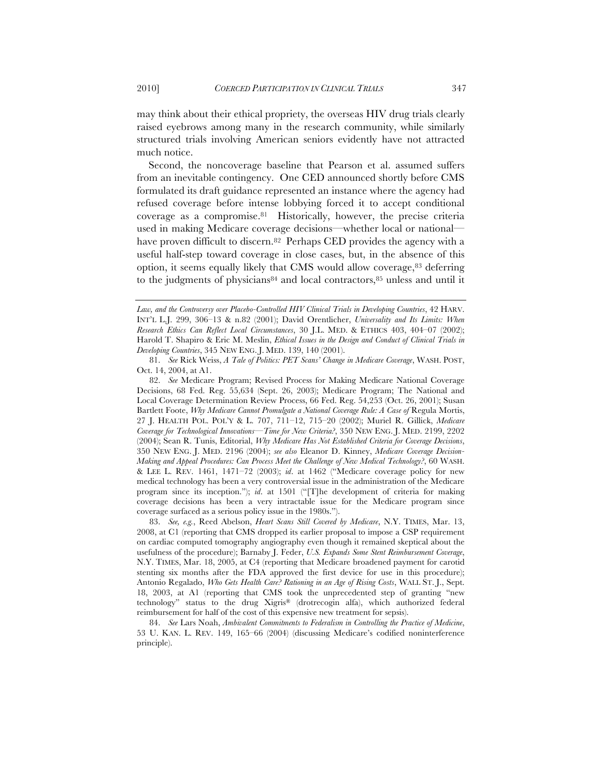may think about their ethical propriety, the overseas HIV drug trials clearly raised eyebrows among many in the research community, while similarly structured trials involving American seniors evidently have not attracted much notice.

Second, the noncoverage baseline that Pearson et al. assumed suffers from an inevitable contingency. One CED announced shortly before CMS formulated its draft guidance represented an instance where the agency had refused coverage before intense lobbying forced it to accept conditional coverage as a compromise.81 Historically, however, the precise criteria used in making Medicare coverage decisions—whether local or national have proven difficult to discern.<sup>82</sup> Perhaps CED provides the agency with a useful half-step toward coverage in close cases, but, in the absence of this option, it seems equally likely that CMS would allow coverage,83 deferring to the judgments of physicians $84$  and local contractors,  $85$  unless and until it

82. *See* Medicare Program; Revised Process for Making Medicare National Coverage Decisions, 68 Fed. Reg. 55,634 (Sept. 26, 2003); Medicare Program; The National and Local Coverage Determination Review Process, 66 Fed. Reg. 54,253 (Oct. 26, 2001); Susan Bartlett Foote, *Why Medicare Cannot Promulgate a National Coverage Rule: A Case of* Regula Mortis, 27 J. HEALTH POL. POL'Y & L. 707, 711–12, 715–20 (2002); Muriel R. Gillick, *Medicare Coverage for Technological Innovations—Time for New Criteria?*, 350 NEW ENG. J. MED. 2199, 2202 (2004); Sean R. Tunis, Editorial, *Why Medicare Has Not Established Criteria for Coverage Decisions*, 350 NEW ENG. J. MED. 2196 (2004); *see also* Eleanor D. Kinney, *Medicare Coverage Decision-Making and Appeal Procedures: Can Process Meet the Challenge of New Medical Technology?*, 60 WASH. & LEE L. REV. 1461, 1471–72 (2003); *id*. at 1462 ("Medicare coverage policy for new medical technology has been a very controversial issue in the administration of the Medicare program since its inception."); *id*. at 1501 ("[T]he development of criteria for making coverage decisions has been a very intractable issue for the Medicare program since coverage surfaced as a serious policy issue in the 1980s.").

83. *See, e.g.*, Reed Abelson, *Heart Scans Still Covered by Medicare*, N.Y. TIMES, Mar. 13, 2008, at C1 (reporting that CMS dropped its earlier proposal to impose a CSP requirement on cardiac computed tomography angiography even though it remained skeptical about the usefulness of the procedure); Barnaby J. Feder, *U.S. Expands Some Stent Reimbursement Coverage*, N.Y. TIMES, Mar. 18, 2005, at C4 (reporting that Medicare broadened payment for carotid stenting six months after the FDA approved the first device for use in this procedure); Antonio Regalado, *Who Gets Health Care? Rationing in an Age of Rising Costs*, WALL ST. J., Sept. 18, 2003, at A1 (reporting that CMS took the unprecedented step of granting "new technology" status to the drug Xigris® (drotrecogin alfa), which authorized federal reimbursement for half of the cost of this expensive new treatment for sepsis).

84. *See* Lars Noah, *Ambivalent Commitments to Federalism in Controlling the Practice of Medicine*, 53 U. KAN. L. REV. 149, 165–66 (2004) (discussing Medicare's codified noninterference principle).

*Law, and the Controversy over Placebo-Controlled HIV Clinical Trials in Developing Countries*, 42 HARV. INT'L L.J. 299, 306–13 & n.82 (2001); David Orentlicher, *Universality and Its Limits: When Research Ethics Can Reflect Local Circumstances*, 30 J.L. MED. & ETHICS 403, 404–07 (2002); Harold T. Shapiro & Eric M. Meslin, *Ethical Issues in the Design and Conduct of Clinical Trials in Developing Countries*, 345 NEW ENG. J. MED. 139, 140 (2001).

<sup>81.</sup> *See* Rick Weiss, *A Tale of Politics: PET Scans' Change in Medicare Coverage*, WASH. POST, Oct. 14, 2004, at A1.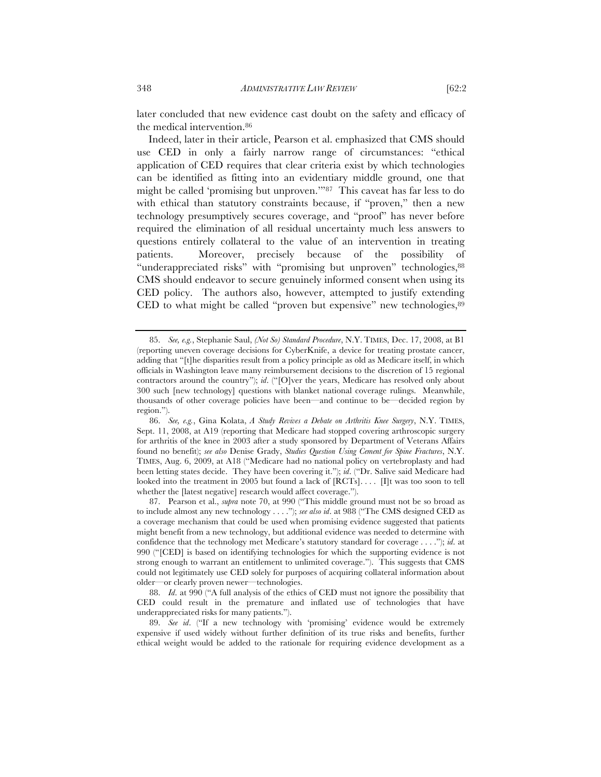later concluded that new evidence cast doubt on the safety and efficacy of the medical intervention.86

Indeed, later in their article, Pearson et al. emphasized that CMS should use CED in only a fairly narrow range of circumstances: "ethical application of CED requires that clear criteria exist by which technologies can be identified as fitting into an evidentiary middle ground, one that might be called 'promising but unproven.'"87 This caveat has far less to do with ethical than statutory constraints because, if "proven," then a new technology presumptively secures coverage, and "proof" has never before required the elimination of all residual uncertainty much less answers to questions entirely collateral to the value of an intervention in treating patients. Moreover, precisely because of the possibility of "underappreciated risks" with "promising but unproven" technologies,88 CMS should endeavor to secure genuinely informed consent when using its CED policy. The authors also, however, attempted to justify extending CED to what might be called "proven but expensive" new technologies,89

<sup>85.</sup> *See, e.g.*, Stephanie Saul, *(Not So) Standard Procedure*, N.Y. TIMES, Dec. 17, 2008, at B1 (reporting uneven coverage decisions for CyberKnife, a device for treating prostate cancer, adding that "[t]he disparities result from a policy principle as old as Medicare itself, in which officials in Washington leave many reimbursement decisions to the discretion of 15 regional contractors around the country"); *id*. ("[O]ver the years, Medicare has resolved only about 300 such [new technology] questions with blanket national coverage rulings. Meanwhile, thousands of other coverage policies have been—and continue to be—decided region by region.").

<sup>86.</sup> *See, e.g.*, Gina Kolata, *A Study Revives a Debate on Arthritis Knee Surgery*, N.Y. TIMES, Sept. 11, 2008, at A19 (reporting that Medicare had stopped covering arthroscopic surgery for arthritis of the knee in 2003 after a study sponsored by Department of Veterans Affairs found no benefit); *see also* Denise Grady, *Studies Question Using Cement for Spine Fractures*, N.Y. TIMES, Aug. 6, 2009, at A18 ("Medicare had no national policy on vertebroplasty and had been letting states decide. They have been covering it."); *id*. ("Dr. Salive said Medicare had looked into the treatment in 2005 but found a lack of [RCTs]. . . . [I]t was too soon to tell whether the [latest negative] research would affect coverage.").

<sup>87.</sup> Pearson et al., *supra* note 70, at 990 ("This middle ground must not be so broad as to include almost any new technology . . . ."); *see also id*. at 988 ("The CMS designed CED as a coverage mechanism that could be used when promising evidence suggested that patients might benefit from a new technology, but additional evidence was needed to determine with confidence that the technology met Medicare's statutory standard for coverage . . . ."); *id*. at 990 ("[CED] is based on identifying technologies for which the supporting evidence is not strong enough to warrant an entitlement to unlimited coverage."). This suggests that CMS could not legitimately use CED solely for purposes of acquiring collateral information about older—or clearly proven newer—technologies.

<sup>88.</sup> *Id*. at 990 ("A full analysis of the ethics of CED must not ignore the possibility that CED could result in the premature and inflated use of technologies that have underappreciated risks for many patients.").

<sup>89.</sup> *See id*. ("If a new technology with 'promising' evidence would be extremely expensive if used widely without further definition of its true risks and benefits, further ethical weight would be added to the rationale for requiring evidence development as a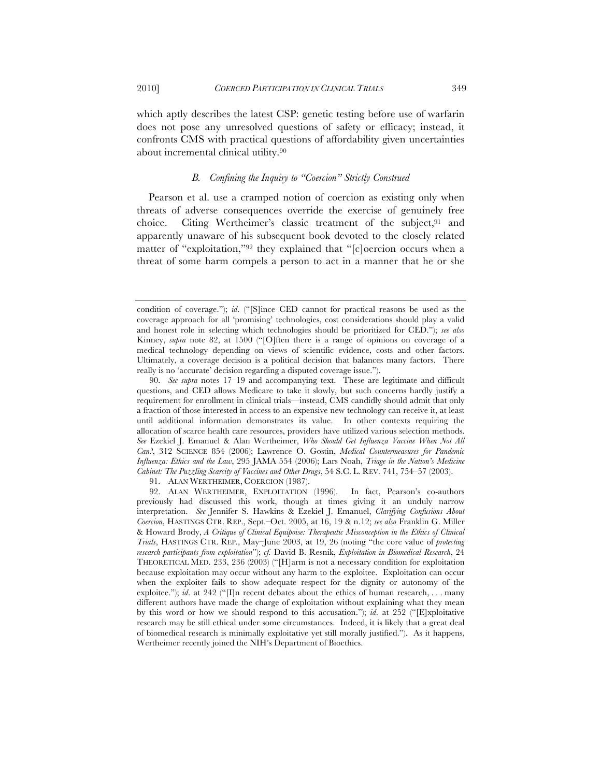which aptly describes the latest CSP: genetic testing before use of warfarin does not pose any unresolved questions of safety or efficacy; instead, it confronts CMS with practical questions of affordability given uncertainties about incremental clinical utility.90

# *B. Confining the Inquiry to "Coercion" Strictly Construed*

Pearson et al. use a cramped notion of coercion as existing only when threats of adverse consequences override the exercise of genuinely free choice. Citing Wertheimer's classic treatment of the subject,<sup>91</sup> and apparently unaware of his subsequent book devoted to the closely related matter of "exploitation,"92 they explained that "[c]oercion occurs when a threat of some harm compels a person to act in a manner that he or she

91. ALAN WERTHEIMER, COERCION (1987).

condition of coverage."); *id*. ("[S]ince CED cannot for practical reasons be used as the coverage approach for all 'promising' technologies, cost considerations should play a valid and honest role in selecting which technologies should be prioritized for CED."); *see also* Kinney, *supra* note 82, at 1500 ("[O]ften there is a range of opinions on coverage of a medical technology depending on views of scientific evidence, costs and other factors. Ultimately, a coverage decision is a political decision that balances many factors. There really is no 'accurate' decision regarding a disputed coverage issue.").

<sup>90.</sup> *See supra* notes 17–19 and accompanying text. These are legitimate and difficult questions, and CED allows Medicare to take it slowly, but such concerns hardly justify a requirement for enrollment in clinical trials—instead, CMS candidly should admit that only a fraction of those interested in access to an expensive new technology can receive it, at least until additional information demonstrates its value. In other contexts requiring the allocation of scarce health care resources, providers have utilized various selection methods. *See* Ezekiel J. Emanuel & Alan Wertheimer, *Who Should Get Influenza Vaccine When Not All Can?*, 312 SCIENCE 854 (2006); Lawrence O. Gostin, *Medical Countermeasures for Pandemic Influenza: Ethics and the Law*, 295 JAMA 554 (2006); Lars Noah, *Triage in the Nation's Medicine Cabinet: The Puzzling Scarcity of Vaccines and Other Drugs*, 54 S.C. L. REV. 741, 754–57 (2003).

<sup>92.</sup> ALAN WERTHEIMER, EXPLOITATION (1996). In fact, Pearson's co-authors previously had discussed this work, though at times giving it an unduly narrow interpretation. *See* Jennifer S. Hawkins & Ezekiel J. Emanuel, *Clarifying Confusions About Coercion*, HASTINGS CTR. REP., Sept.–Oct. 2005, at 16, 19 & n.12; *see also* Franklin G. Miller & Howard Brody, *A Critique of Clinical Equipoise: Therapeutic Misconception in the Ethics of Clinical Trials*, HASTINGS CTR. REP., May–June 2003, at 19, 26 (noting "the core value of *protecting research participants from exploitation*"); *cf.* David B. Resnik, *Exploitation in Biomedical Research*, 24 THEORETICAL MED. 233, 236 (2003) ("[H]arm is not a necessary condition for exploitation because exploitation may occur without any harm to the exploitee. Exploitation can occur when the exploiter fails to show adequate respect for the dignity or autonomy of the exploitee."); *id.* at 242 ("IIn recent debates about the ethics of human research, . . . many different authors have made the charge of exploitation without explaining what they mean by this word or how we should respond to this accusation."); *id*. at 252 ("[E]xploitative research may be still ethical under some circumstances. Indeed, it is likely that a great deal of biomedical research is minimally exploitative yet still morally justified."). As it happens, Wertheimer recently joined the NIH's Department of Bioethics.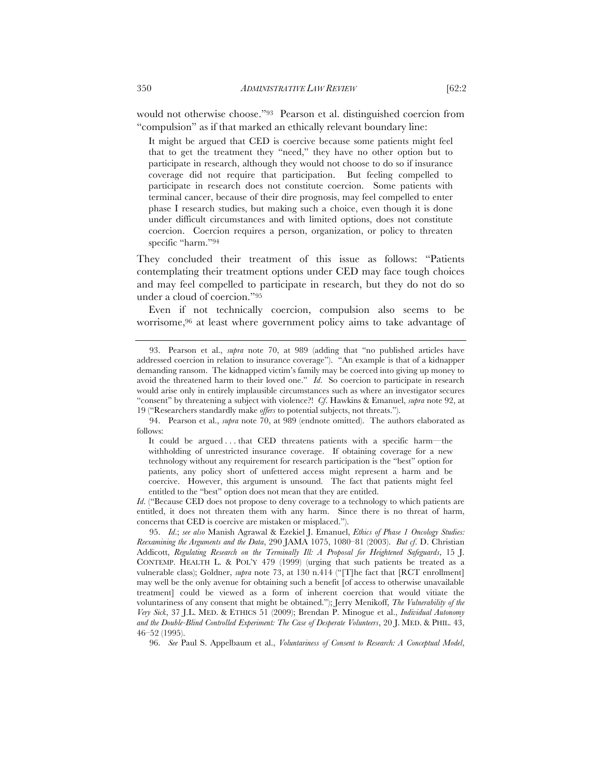would not otherwise choose."93 Pearson et al. distinguished coercion from "compulsion" as if that marked an ethically relevant boundary line:

It might be argued that CED is coercive because some patients might feel that to get the treatment they "need," they have no other option but to participate in research, although they would not choose to do so if insurance coverage did not require that participation. But feeling compelled to participate in research does not constitute coercion. Some patients with terminal cancer, because of their dire prognosis, may feel compelled to enter phase I research studies, but making such a choice, even though it is done under difficult circumstances and with limited options, does not constitute coercion. Coercion requires a person, organization, or policy to threaten specific "harm."94

They concluded their treatment of this issue as follows: "Patients contemplating their treatment options under CED may face tough choices and may feel compelled to participate in research, but they do not do so under a cloud of coercion."95

Even if not technically coercion, compulsion also seems to be worrisome,96 at least where government policy aims to take advantage of

<sup>93.</sup> Pearson et al., *supra* note 70, at 989 (adding that "no published articles have addressed coercion in relation to insurance coverage"). "An example is that of a kidnapper demanding ransom. The kidnapped victim's family may be coerced into giving up money to avoid the threatened harm to their loved one." *Id*. So coercion to participate in research would arise only in entirely implausible circumstances such as where an investigator secures "consent" by threatening a subject with violence?! *Cf*. Hawkins & Emanuel, *supra* note 92, at 19 ("Researchers standardly make *offers* to potential subjects, not threats.").

<sup>94.</sup> Pearson et al., *supra* note 70, at 989 (endnote omitted). The authors elaborated as follows:

It could be argued . . . that CED threatens patients with a specific harm—the withholding of unrestricted insurance coverage. If obtaining coverage for a new technology without any requirement for research participation is the "best" option for patients, any policy short of unfettered access might represent a harm and be coercive. However, this argument is unsound. The fact that patients might feel entitled to the "best" option does not mean that they are entitled.

*Id.* ("Because CED does not propose to deny coverage to a technology to which patients are entitled, it does not threaten them with any harm. Since there is no threat of harm, concerns that CED is coercive are mistaken or misplaced.").

<sup>95.</sup> *Id*.; *see also* Manish Agrawal & Ezekiel J. Emanuel, *Ethics of Phase 1 Oncology Studies: Reexamining the Arguments and the Data*, 290 JAMA 1075, 1080–81 (2003). *But cf*. D. Christian Addicott, *Regulating Research on the Terminally Ill: A Proposal for Heightened Safeguards*, 15 J. CONTEMP. HEALTH L. & POL'Y 479 (1999) (urging that such patients be treated as a vulnerable class); Goldner, *supra* note 73, at 130 n.414 ("[T]he fact that [RCT enrollment] may well be the only avenue for obtaining such a benefit [of access to otherwise unavailable treatment] could be viewed as a form of inherent coercion that would vitiate the voluntariness of any consent that might be obtained."); Jerry Menikoff, *The Vulnerability of the Very Sick*, 37 J.L. MED. & ETHICS 51 (2009); Brendan P. Minogue et al., *Individual Autonomy and the Double-Blind Controlled Experiment: The Case of Desperate Volunteers*, 20 J. MED. & PHIL. 43, 46–52 (1995).

<sup>96.</sup> *See* Paul S. Appelbaum et al., *Voluntariness of Consent to Research: A Conceptual Model*,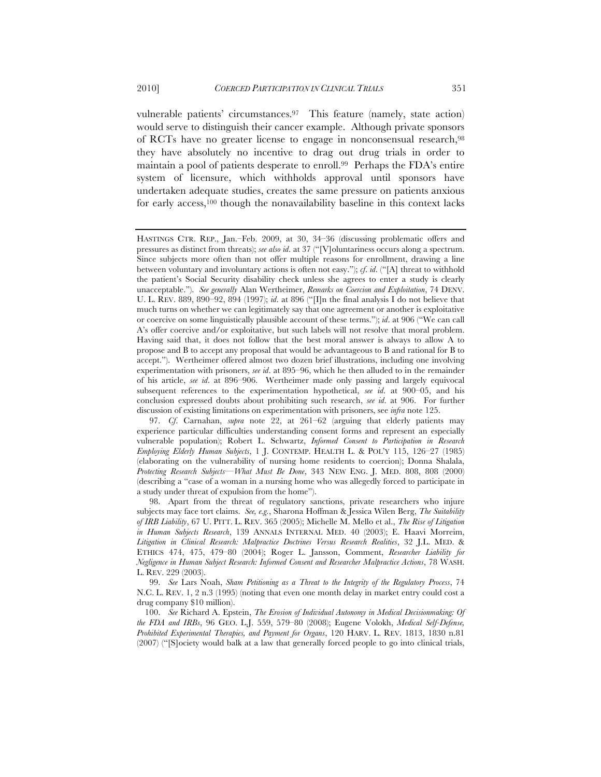vulnerable patients' circumstances.97 This feature (namely, state action) would serve to distinguish their cancer example. Although private sponsors of RCTs have no greater license to engage in nonconsensual research,98 they have absolutely no incentive to drag out drug trials in order to maintain a pool of patients desperate to enroll.99 Perhaps the FDA's entire system of licensure, which withholds approval until sponsors have undertaken adequate studies, creates the same pressure on patients anxious for early access,100 though the nonavailability baseline in this context lacks

HASTINGS CTR. REP., Jan.–Feb. 2009, at 30, 34–36 (discussing problematic offers and pressures as distinct from threats); *see also id*. at 37 ("[V]oluntariness occurs along a spectrum. Since subjects more often than not offer multiple reasons for enrollment, drawing a line between voluntary and involuntary actions is often not easy."); *cf*. *id*. ("[A] threat to withhold the patient's Social Security disability check unless she agrees to enter a study is clearly unacceptable."). *See generally* Alan Wertheimer, *Remarks on Coercion and Exploitation*, 74 DENV. U. L. REV. 889, 890–92, 894 (1997); *id*. at 896 ("[I]n the final analysis I do not believe that much turns on whether we can legitimately say that one agreement or another is exploitative or coercive on some linguistically plausible account of these terms."); *id*. at 906 ("We can call A's offer coercive and/or exploitative, but such labels will not resolve that moral problem. Having said that, it does not follow that the best moral answer is always to allow A to propose and B to accept any proposal that would be advantageous to B and rational for B to accept."). Wertheimer offered almost two dozen brief illustrations, including one involving experimentation with prisoners, *see id*. at 895–96, which he then alluded to in the remainder of his article, *see id*. at 896–906. Wertheimer made only passing and largely equivocal subsequent references to the experimentation hypothetical, *see id*. at 900–05, and his conclusion expressed doubts about prohibiting such research, *see id*. at 906. For further discussion of existing limitations on experimentation with prisoners, see *infra* note 125.

<sup>97.</sup> *Cf*. Carnahan, *supra* note 22, at 261–62 (arguing that elderly patients may experience particular difficulties understanding consent forms and represent an especially vulnerable population); Robert L. Schwartz, *Informed Consent to Participation in Research Employing Elderly Human Subjects*, 1 J. CONTEMP. HEALTH L. & POL'Y 115, 126–27 (1985) (elaborating on the vulnerability of nursing home residents to coercion); Donna Shalala, *Protecting Research Subjects—What Must Be Done*, 343 NEW ENG. J. MED. 808, 808 (2000) (describing a "case of a woman in a nursing home who was allegedly forced to participate in a study under threat of expulsion from the home").

<sup>98.</sup> Apart from the threat of regulatory sanctions, private researchers who injure subjects may face tort claims. *See, e.g.*, Sharona Hoffman & Jessica Wilen Berg, *The Suitability of IRB Liability*, 67 U. PITT. L. REV. 365 (2005); Michelle M. Mello et al., *The Rise of Litigation in Human Subjects Research*, 139 ANNALS INTERNAL MED. 40 (2003); E. Haavi Morreim, *Litigation in Clinical Research: Malpractice Doctrines Versus Research Realities*, 32 J.L. MED. & ETHICS 474, 475, 479–80 (2004); Roger L. Jansson, Comment, *Researcher Liability for Negligence in Human Subject Research: Informed Consent and Researcher Malpractice Actions*, 78 WASH. L. REV. 229 (2003).

<sup>99.</sup> *See* Lars Noah, *Sham Petitioning as a Threat to the Integrity of the Regulatory Process*, 74 N.C. L. REV. 1, 2 n.3 (1995) (noting that even one month delay in market entry could cost a drug company \$10 million).

<sup>100.</sup> *See* Richard A. Epstein, *The Erosion of Individual Autonomy in Medical Decisionmaking: Of the FDA and IRBs*, 96 GEO. L.J. 559, 579–80 (2008); Eugene Volokh, *Medical Self-Defense, Prohibited Experimental Therapies, and Payment for Organs*, 120 HARV. L. REV. 1813, 1830 n.81 (2007) ("[S]ociety would balk at a law that generally forced people to go into clinical trials,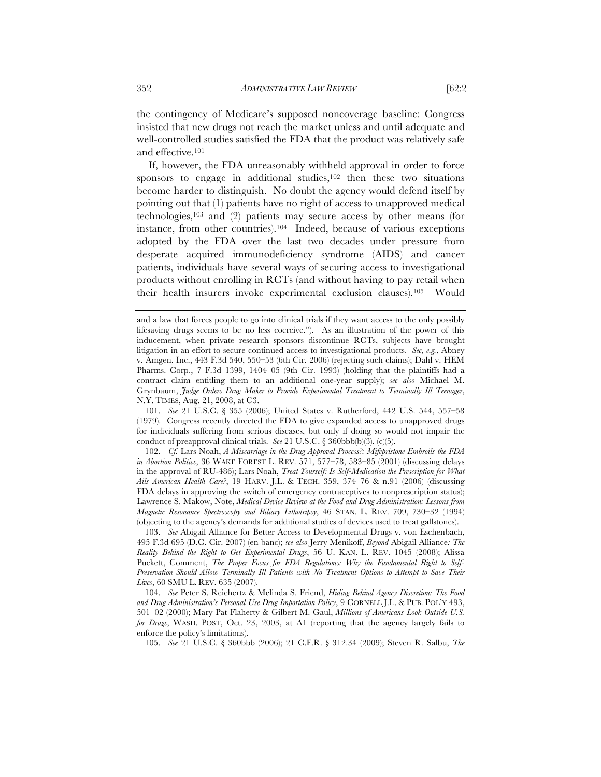the contingency of Medicare's supposed noncoverage baseline: Congress insisted that new drugs not reach the market unless and until adequate and well-controlled studies satisfied the FDA that the product was relatively safe and effective.101

If, however, the FDA unreasonably withheld approval in order to force sponsors to engage in additional studies,<sup>102</sup> then these two situations become harder to distinguish. No doubt the agency would defend itself by pointing out that (1) patients have no right of access to unapproved medical technologies,103 and (2) patients may secure access by other means (for instance, from other countries).104 Indeed, because of various exceptions adopted by the FDA over the last two decades under pressure from desperate acquired immunodeficiency syndrome (AIDS) and cancer patients, individuals have several ways of securing access to investigational products without enrolling in RCTs (and without having to pay retail when their health insurers invoke experimental exclusion clauses).105 Would

102. *Cf.* Lars Noah, *A Miscarriage in the Drug Approval Process?: Mifepristone Embroils the FDA in Abortion Politics*, 36 WAKE FOREST L. REV. 571, 577–78, 583–85 (2001) (discussing delays in the approval of RU-486); Lars Noah, *Treat Yourself: Is Self-Medication the Prescription for What Ails American Health Care?*, 19 HARV. J.L. & TECH. 359, 374–76 & n.91 (2006) (discussing FDA delays in approving the switch of emergency contraceptives to nonprescription status); Lawrence S. Makow, Note, *Medical Device Review at the Food and Drug Administration: Lessons from Magnetic Resonance Spectroscopy and Biliary Lithotripsy*, 46 STAN. L. REV. 709, 730–32 (1994) (objecting to the agency's demands for additional studies of devices used to treat gallstones).

103. *See* Abigail Alliance for Better Access to Developmental Drugs v. von Eschenbach, 495 F.3d 695 (D.C. Cir. 2007) (en banc); *see also* Jerry Menikoff, *Beyond* Abigail Alliance*: The Reality Behind the Right to Get Experimental Drugs*, 56 U. KAN. L. REV. 1045 (2008); Alissa Puckett, Comment, *The Proper Focus for FDA Regulations: Why the Fundamental Right to Self-Preservation Should Allow Terminally Ill Patients with No Treatment Options to Attempt to Save Their Lives*, 60 SMU L. REV. 635 (2007).

104. *See* Peter S. Reichertz & Melinda S. Friend, *Hiding Behind Agency Discretion: The Food and Drug Administration's Personal Use Drug Importation Policy*, 9 CORNELL J.L. & PUB. POL'Y 493, 501–02 (2000); Mary Pat Flaherty & Gilbert M. Gaul, *Millions of Americans Look Outside U.S. for Drugs*, WASH. POST, Oct. 23, 2003, at A1 (reporting that the agency largely fails to enforce the policy's limitations).

105. *See* 21 U.S.C. § 360bbb (2006); 21 C.F.R. § 312.34 (2009); Steven R. Salbu, *The* 

and a law that forces people to go into clinical trials if they want access to the only possibly lifesaving drugs seems to be no less coercive."). As an illustration of the power of this inducement, when private research sponsors discontinue RCTs, subjects have brought litigation in an effort to secure continued access to investigational products. *See, e.g.*, Abney v. Amgen, Inc., 443 F.3d 540, 550–53 (6th Cir. 2006) (rejecting such claims); Dahl v. HEM Pharms. Corp., 7 F.3d 1399, 1404–05 (9th Cir. 1993) (holding that the plaintiffs had a contract claim entitling them to an additional one-year supply); *see also* Michael M. Grynbaum, *Judge Orders Drug Maker to Provide Experimental Treatment to Terminally Ill Teenager*, N.Y. TIMES, Aug. 21, 2008, at C3.

<sup>101.</sup> *See* 21 U.S.C. § 355 (2006); United States v. Rutherford, 442 U.S. 544, 557–58 (1979). Congress recently directed the FDA to give expanded access to unapproved drugs for individuals suffering from serious diseases, but only if doing so would not impair the conduct of preapproval clinical trials. *See* 21 U.S.C. § 360bbb(b)(3), (c)(5).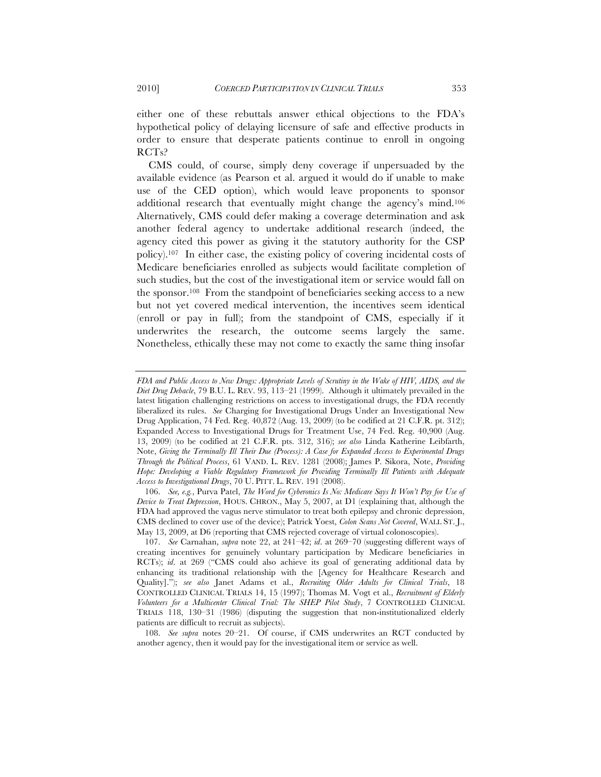either one of these rebuttals answer ethical objections to the FDA's hypothetical policy of delaying licensure of safe and effective products in order to ensure that desperate patients continue to enroll in ongoing RCTs?

CMS could, of course, simply deny coverage if unpersuaded by the available evidence (as Pearson et al. argued it would do if unable to make use of the CED option), which would leave proponents to sponsor additional research that eventually might change the agency's mind.106 Alternatively, CMS could defer making a coverage determination and ask another federal agency to undertake additional research (indeed, the agency cited this power as giving it the statutory authority for the CSP policy).107 In either case, the existing policy of covering incidental costs of Medicare beneficiaries enrolled as subjects would facilitate completion of such studies, but the cost of the investigational item or service would fall on the sponsor.108 From the standpoint of beneficiaries seeking access to a new but not yet covered medical intervention, the incentives seem identical (enroll or pay in full); from the standpoint of CMS, especially if it underwrites the research, the outcome seems largely the same. Nonetheless, ethically these may not come to exactly the same thing insofar

108. *See supra* notes 20–21. Of course, if CMS underwrites an RCT conducted by another agency, then it would pay for the investigational item or service as well.

*FDA and Public Access to New Drugs: Appropriate Levels of Scrutiny in the Wake of HIV, AIDS, and the Diet Drug Debacle*, 79 B.U. L. REV. 93, 113–21 (1999). Although it ultimately prevailed in the latest litigation challenging restrictions on access to investigational drugs, the FDA recently liberalized its rules. *See* Charging for Investigational Drugs Under an Investigational New Drug Application, 74 Fed. Reg. 40,872 (Aug. 13, 2009) (to be codified at 21 C.F.R. pt. 312); Expanded Access to Investigational Drugs for Treatment Use, 74 Fed. Reg. 40,900 (Aug. 13, 2009) (to be codified at 21 C.F.R. pts. 312, 316); *see also* Linda Katherine Leibfarth, Note, *Giving the Terminally Ill Their Due (Process): A Case for Expanded Access to Experimental Drugs Through the Political Process*, 61 VAND. L. REV. 1281 (2008); James P. Sikora, Note, *Providing Hope: Developing a Viable Regulatory Framework for Providing Terminally Ill Patients with Adequate Access to Investigational Drugs*, 70 U. PITT. L. REV. 191 (2008).

<sup>106.</sup> *See, e.g.*, Purva Patel, *The Word for Cyberonics Is No: Medicare Says It Won't Pay for Use of Device to Treat Depression*, HOUS. CHRON., May 5, 2007, at D1 (explaining that, although the FDA had approved the vagus nerve stimulator to treat both epilepsy and chronic depression, CMS declined to cover use of the device); Patrick Yoest, *Colon Scans Not Covered*, WALL ST. J., May 13, 2009, at D6 (reporting that CMS rejected coverage of virtual colonoscopies).

<sup>107.</sup> *See* Carnahan, *supra* note 22, at 241–42; *id*. at 269–70 (suggesting different ways of creating incentives for genuinely voluntary participation by Medicare beneficiaries in RCTs); *id*. at 269 ("CMS could also achieve its goal of generating additional data by enhancing its traditional relationship with the [Agency for Healthcare Research and Quality]."); *see also* Janet Adams et al., *Recruiting Older Adults for Clinical Trials*, 18 CONTROLLED CLINICAL TRIALS 14, 15 (1997); Thomas M. Vogt et al., *Recruitment of Elderly Volunteers for a Multicenter Clinical Trial: The SHEP Pilot Study*, 7 CONTROLLED CLINICAL TRIALS 118, 130–31 (1986) (disputing the suggestion that non-institutionalized elderly patients are difficult to recruit as subjects).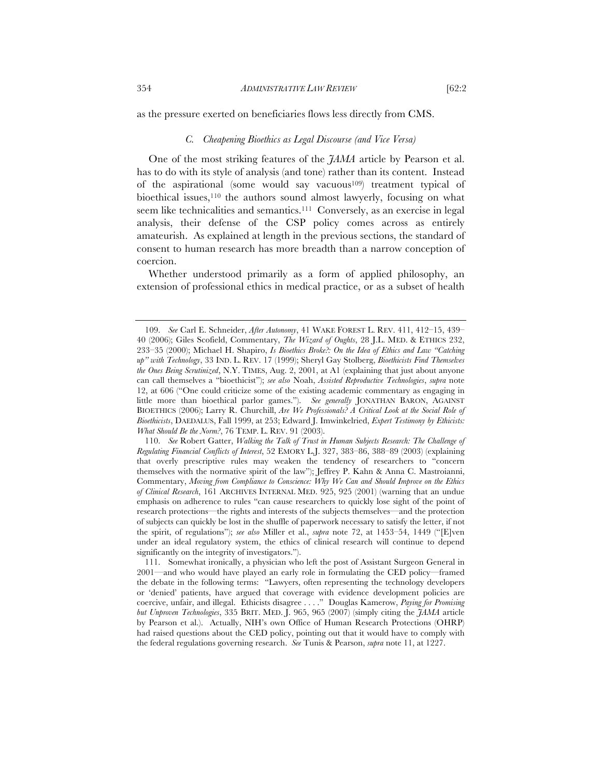as the pressure exerted on beneficiaries flows less directly from CMS.

#### *C. Cheapening Bioethics as Legal Discourse (and Vice Versa)*

One of the most striking features of the *JAMA* article by Pearson et al. has to do with its style of analysis (and tone) rather than its content. Instead of the aspirational (some would say vacuous109) treatment typical of bioethical issues,<sup>110</sup> the authors sound almost lawyerly, focusing on what seem like technicalities and semantics.111 Conversely, as an exercise in legal analysis, their defense of the CSP policy comes across as entirely amateurish. As explained at length in the previous sections, the standard of consent to human research has more breadth than a narrow conception of coercion.

Whether understood primarily as a form of applied philosophy, an extension of professional ethics in medical practice, or as a subset of health

<sup>109.</sup> *See* Carl E. Schneider, *After Autonomy*, 41 WAKE FOREST L. REV. 411, 412–15, 439– 40 (2006); Giles Scofield, Commentary, *The Wizard of Oughts*, 28 J.L. MED. & ETHICS 232, 233–35 (2000); Michael H. Shapiro, *Is Bioethics Broke?: On the Idea of Ethics and Law "Catching up" with Technology*, 33 IND. L. REV. 17 (1999); Sheryl Gay Stolberg, *Bioethicists Find Themselves the Ones Being Scrutinized*, N.Y. TIMES, Aug. 2, 2001, at A1 (explaining that just about anyone can call themselves a "bioethicist"); *see also* Noah, *Assisted Reproductive Technologies*, *supra* note 12, at 606 ("One could criticize some of the existing academic commentary as engaging in little more than bioethical parlor games."). *See generally* JONATHAN BARON, AGAINST BIOETHICS (2006); Larry R. Churchill, *Are We Professionals? A Critical Look at the Social Role of Bioethicists*, DAEDALUS, Fall 1999, at 253; Edward J. Imwinkelried, *Expert Testimony by Ethicists: What Should Be the Norm?*, 76 TEMP. L. REV. 91 (2003).

<sup>110.</sup> *See* Robert Gatter, *Walking the Talk of Trust in Human Subjects Research: The Challenge of Regulating Financial Conflicts of Interest*, 52 EMORY L.J. 327, 383–86, 388–89 (2003) (explaining that overly prescriptive rules may weaken the tendency of researchers to "concern themselves with the normative spirit of the law"); Jeffrey P. Kahn & Anna C. Mastroianni, Commentary, *Moving from Compliance to Conscience: Why We Can and Should Improve on the Ethics of Clinical Research*, 161 ARCHIVES INTERNAL MED. 925, 925 (2001) (warning that an undue emphasis on adherence to rules "can cause researchers to quickly lose sight of the point of research protections—the rights and interests of the subjects themselves—and the protection of subjects can quickly be lost in the shuffle of paperwork necessary to satisfy the letter, if not the spirit, of regulations"); *see also* Miller et al., *supra* note 72, at 1453–54, 1449 ("[E]ven under an ideal regulatory system, the ethics of clinical research will continue to depend significantly on the integrity of investigators.").

<sup>111.</sup> Somewhat ironically, a physician who left the post of Assistant Surgeon General in 2001—and who would have played an early role in formulating the CED policy—framed the debate in the following terms: "Lawyers, often representing the technology developers or 'denied' patients, have argued that coverage with evidence development policies are coercive, unfair, and illegal. Ethicists disagree . . . ." Douglas Kamerow, *Paying for Promising but Unproven Technologies*, 335 BRIT. MED. J. 965, 965 (2007) (simply citing the *JAMA* article by Pearson et al.). Actually, NIH's own Office of Human Research Protections (OHRP) had raised questions about the CED policy, pointing out that it would have to comply with the federal regulations governing research. *See* Tunis & Pearson, *supra* note 11, at 1227.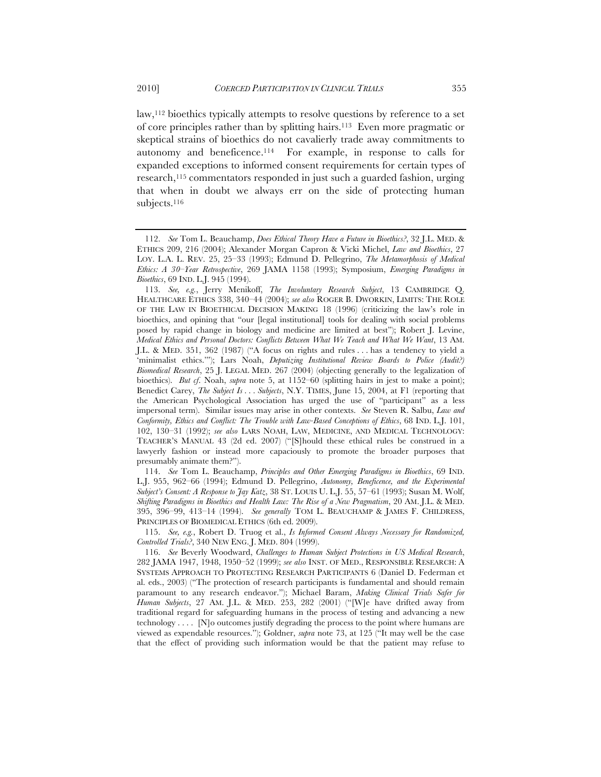law,112 bioethics typically attempts to resolve questions by reference to a set of core principles rather than by splitting hairs.113 Even more pragmatic or skeptical strains of bioethics do not cavalierly trade away commitments to autonomy and beneficence.114 For example, in response to calls for expanded exceptions to informed consent requirements for certain types of research,115 commentators responded in just such a guarded fashion, urging that when in doubt we always err on the side of protecting human subjects.<sup>116</sup>

114. *See* Tom L. Beauchamp, *Principles and Other Emerging Paradigms in Bioethics*, 69 IND. L.J. 955, 962–66 (1994); Edmund D. Pellegrino, *Autonomy, Beneficence, and the Experimental Subject's Consent: A Response to Jay Katz*, 38 ST. LOUIS U. L.J. 55, 57–61 (1993); Susan M. Wolf, *Shifting Paradigms in Bioethics and Health Law: The Rise of a New Pragmatism*, 20 AM. J.L. & MED. 395, 396–99, 413–14 (1994). *See generally* TOM L. BEAUCHAMP & JAMES F. CHILDRESS, PRINCIPLES OF BIOMEDICAL ETHICS (6th ed. 2009).

115. *See, e.g.*, Robert D. Truog et al., *Is Informed Consent Always Necessary for Randomized, Controlled Trials?*, 340 NEW ENG. J. MED. 804 (1999).

116. *See* Beverly Woodward, *Challenges to Human Subject Protections in US Medical Research*, 282 JAMA 1947, 1948, 1950–52 (1999); *see also* INST. OF MED., RESPONSIBLE RESEARCH: A SYSTEMS APPROACH TO PROTECTING RESEARCH PARTICIPANTS 6 (Daniel D. Federman et al. eds., 2003) ("The protection of research participants is fundamental and should remain paramount to any research endeavor."); Michael Baram, *Making Clinical Trials Safer for Human Subjects*, 27 AM. J.L. & MED. 253, 282 (2001) ("[W]e have drifted away from traditional regard for safeguarding humans in the process of testing and advancing a new technology . . . . [N]o outcomes justify degrading the process to the point where humans are viewed as expendable resources."); Goldner, *supra* note 73, at 125 ("It may well be the case that the effect of providing such information would be that the patient may refuse to

<sup>112.</sup> *See* Tom L. Beauchamp, *Does Ethical Theory Have a Future in Bioethics?*, 32 J.L. MED. & ETHICS 209, 216 (2004); Alexander Morgan Capron & Vicki Michel, *Law and Bioethics*, 27 LOY. L.A. L. REV. 25, 25–33 (1993); Edmund D. Pellegrino, *The Metamorphosis of Medical Ethics: A 30–Year Retrospective*, 269 JAMA 1158 (1993); Symposium, *Emerging Paradigms in Bioethics*, 69 IND. L.J. 945 (1994).

<sup>113.</sup> *See, e.g.*, Jerry Menikoff, *The Involuntary Research Subject*, 13 CAMBRIDGE Q. HEALTHCARE ETHICS 338, 340–44 (2004); *see also* ROGER B. DWORKIN, LIMITS: THE ROLE OF THE LAW IN BIOETHICAL DECISION MAKING 18 (1996) (criticizing the law's role in bioethics, and opining that "our [legal institutional] tools for dealing with social problems posed by rapid change in biology and medicine are limited at best"); Robert J. Levine, *Medical Ethics and Personal Doctors: Conflicts Between What We Teach and What We Want*, 13 AM. J.L. & MED. 351, 362 (1987) ("A focus on rights and rules . . . has a tendency to yield a 'minimalist ethics.'"); Lars Noah, *Deputizing Institutional Review Boards to Police (Audit?) Biomedical Research*, 25 J. LEGAL MED. 267 (2004) (objecting generally to the legalization of bioethics). *But cf*. Noah, *supra* note 5, at 1152–60 (splitting hairs in jest to make a point); Benedict Carey, *The Subject Is . . . Subjects*, N.Y. TIMES, June 15, 2004, at F1 (reporting that the American Psychological Association has urged the use of "participant" as a less impersonal term). Similar issues may arise in other contexts. *See* Steven R. Salbu, *Law and Conformity, Ethics and Conflict: The Trouble with Law-Based Conceptions of Ethics*, 68 IND. L.J. 101, 102, 130–31 (1992); *see also* LARS NOAH, LAW, MEDICINE, AND MEDICAL TECHNOLOGY: TEACHER'S MANUAL 43 (2d ed. 2007) ("[S]hould these ethical rules be construed in a lawyerly fashion or instead more capaciously to promote the broader purposes that presumably animate them?").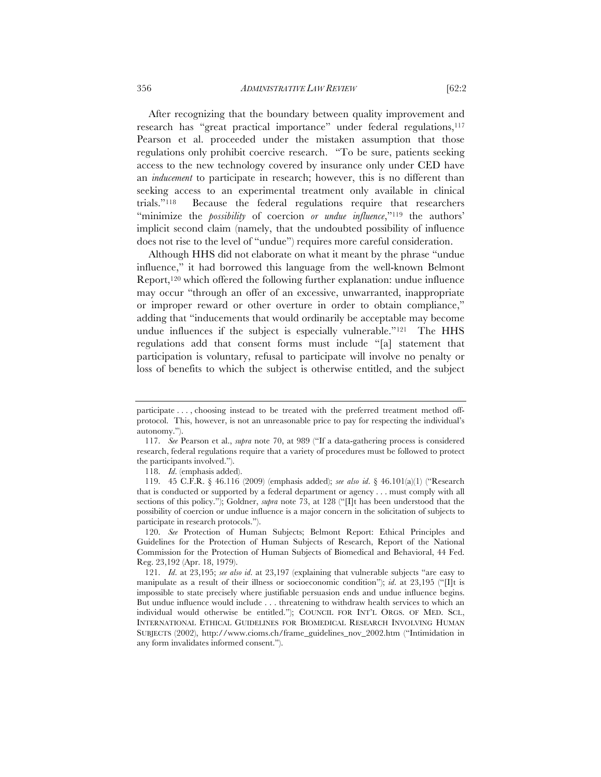After recognizing that the boundary between quality improvement and research has "great practical importance" under federal regulations,<sup>117</sup> Pearson et al. proceeded under the mistaken assumption that those regulations only prohibit coercive research. "To be sure, patients seeking access to the new technology covered by insurance only under CED have an *inducement* to participate in research; however, this is no different than seeking access to an experimental treatment only available in clinical trials."118 Because the federal regulations require that researchers "minimize the *possibility* of coercion *or undue influence*,"119 the authors' implicit second claim (namely, that the undoubted possibility of influence does not rise to the level of "undue") requires more careful consideration.

Although HHS did not elaborate on what it meant by the phrase "undue influence," it had borrowed this language from the well-known Belmont Report,120 which offered the following further explanation: undue influence may occur "through an offer of an excessive, unwarranted, inappropriate or improper reward or other overture in order to obtain compliance," adding that "inducements that would ordinarily be acceptable may become undue influences if the subject is especially vulnerable."<sup>121</sup> The HHS regulations add that consent forms must include "[a] statement that participation is voluntary, refusal to participate will involve no penalty or loss of benefits to which the subject is otherwise entitled, and the subject

participate . . . , choosing instead to be treated with the preferred treatment method offprotocol. This, however, is not an unreasonable price to pay for respecting the individual's autonomy.").

<sup>117.</sup> *See* Pearson et al., *supra* note 70, at 989 ("If a data-gathering process is considered research, federal regulations require that a variety of procedures must be followed to protect the participants involved.").

<sup>118.</sup> *Id*. (emphasis added).

<sup>119.</sup> 45 C.F.R. § 46.116 (2009) (emphasis added); *see also id*. § 46.101(a)(1) ("Research that is conducted or supported by a federal department or agency . . . must comply with all sections of this policy."); Goldner, *supra* note 73, at 128 ("[I]t has been understood that the possibility of coercion or undue influence is a major concern in the solicitation of subjects to participate in research protocols.").

<sup>120.</sup> *See* Protection of Human Subjects; Belmont Report: Ethical Principles and Guidelines for the Protection of Human Subjects of Research, Report of the National Commission for the Protection of Human Subjects of Biomedical and Behavioral, 44 Fed. Reg. 23,192 (Apr. 18, 1979).

<sup>121.</sup> *Id*. at 23,195; *see also id*. at 23,197 (explaining that vulnerable subjects "are easy to manipulate as a result of their illness or socioeconomic condition"); *id*. at 23,195 ("[I]t is impossible to state precisely where justifiable persuasion ends and undue influence begins. But undue influence would include . . . threatening to withdraw health services to which an individual would otherwise be entitled."); COUNCIL FOR INT'L ORGS. OF MED. SCI., INTERNATIONAL ETHICAL GUIDELINES FOR BIOMEDICAL RESEARCH INVOLVING HUMAN SUBJECTS (2002), http://www.cioms.ch/frame\_guidelines\_nov\_2002.htm ("Intimidation in any form invalidates informed consent.").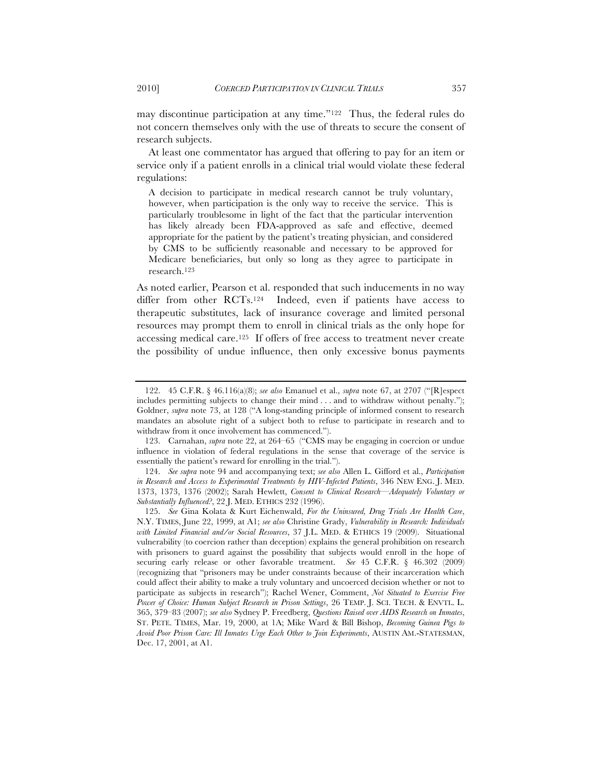may discontinue participation at any time."122 Thus, the federal rules do not concern themselves only with the use of threats to secure the consent of research subjects.

At least one commentator has argued that offering to pay for an item or service only if a patient enrolls in a clinical trial would violate these federal regulations:

A decision to participate in medical research cannot be truly voluntary, however, when participation is the only way to receive the service. This is particularly troublesome in light of the fact that the particular intervention has likely already been FDA-approved as safe and effective, deemed appropriate for the patient by the patient's treating physician, and considered by CMS to be sufficiently reasonable and necessary to be approved for Medicare beneficiaries, but only so long as they agree to participate in research.123

As noted earlier, Pearson et al. responded that such inducements in no way differ from other RCTs.124 Indeed, even if patients have access to therapeutic substitutes, lack of insurance coverage and limited personal resources may prompt them to enroll in clinical trials as the only hope for accessing medical care.125 If offers of free access to treatment never create the possibility of undue influence, then only excessive bonus payments

<sup>122.</sup> 45 C.F.R. § 46.116(a)(8); *see also* Emanuel et al., *supra* note 67, at 2707 ("[R]espect includes permitting subjects to change their mind . . . and to withdraw without penalty."); Goldner, *supra* note 73, at 128 ("A long-standing principle of informed consent to research mandates an absolute right of a subject both to refuse to participate in research and to withdraw from it once involvement has commenced.").

<sup>123.</sup> Carnahan, *supra* note 22, at 264–65 ("CMS may be engaging in coercion or undue influence in violation of federal regulations in the sense that coverage of the service is essentially the patient's reward for enrolling in the trial.").

<sup>124.</sup> *See supra* note 94 and accompanying text; *see also* Allen L. Gifford et al., *Participation in Research and Access to Experimental Treatments by HIV-Infected Patients*, 346 NEW ENG. J. MED. 1373, 1373, 1376 (2002); Sarah Hewlett, *Consent to Clinical Research—Adequately Voluntary or Substantially Influenced?*, 22 J. MED. ETHICS 232 (1996).

<sup>125.</sup> *See* Gina Kolata & Kurt Eichenwald, *For the Uninsured, Drug Trials Are Health Care*, N.Y. TIMES, June 22, 1999, at A1; *see also* Christine Grady, *Vulnerability in Research: Individuals with Limited Financial and/or Social Resources*, 37 J.L. MED. & ETHICS 19 (2009). Situational vulnerability (to coercion rather than deception) explains the general prohibition on research with prisoners to guard against the possibility that subjects would enroll in the hope of securing early release or other favorable treatment. *See* 45 C.F.R. § 46.302 (2009) (recognizing that "prisoners may be under constraints because of their incarceration which could affect their ability to make a truly voluntary and uncoerced decision whether or not to participate as subjects in research"); Rachel Wener, Comment, *Not Situated to Exercise Free Power of Choice: Human Subject Research in Prison Settings*, 26 TEMP. J. SCI. TECH. & ENVTL. L. 365, 379–83 (2007); *see also* Sydney P. Freedberg, *Questions Raised over AIDS Research on Inmates*, ST. PETE. TIMES, Mar. 19, 2000, at 1A; Mike Ward & Bill Bishop, *Becoming Guinea Pigs to Avoid Poor Prison Care: Ill Inmates Urge Each Other to Join Experiments*, AUSTIN AM.-STATESMAN, Dec. 17, 2001, at A1.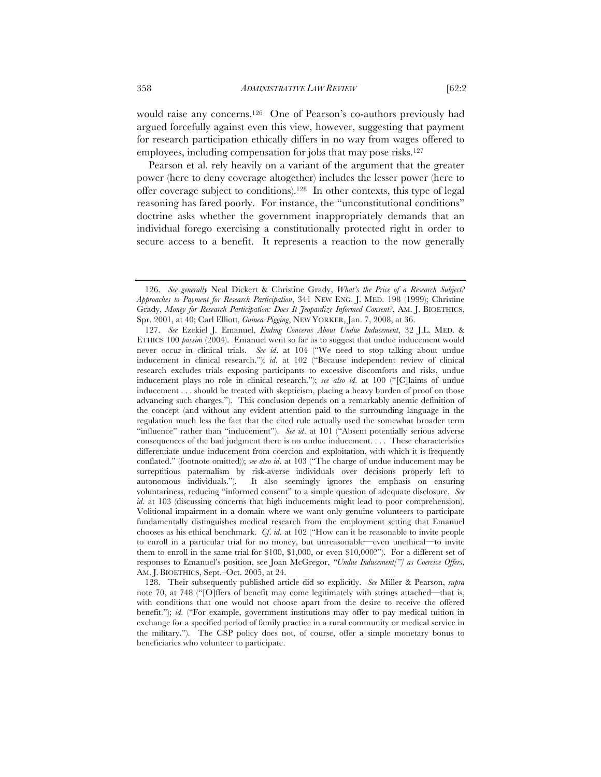would raise any concerns.126 One of Pearson's co-authors previously had argued forcefully against even this view, however, suggesting that payment for research participation ethically differs in no way from wages offered to employees, including compensation for jobs that may pose risks.<sup>127</sup>

Pearson et al. rely heavily on a variant of the argument that the greater power (here to deny coverage altogether) includes the lesser power (here to offer coverage subject to conditions).128 In other contexts, this type of legal reasoning has fared poorly. For instance, the "unconstitutional conditions" doctrine asks whether the government inappropriately demands that an individual forego exercising a constitutionally protected right in order to secure access to a benefit. It represents a reaction to the now generally

<sup>126.</sup> *See generally* Neal Dickert & Christine Grady, *What's the Price of a Research Subject? Approaches to Payment for Research Participation*, 341 NEW ENG. J. MED. 198 (1999); Christine Grady, *Money for Research Participation: Does It Jeopardize Informed Consent?*, AM. J. BIOETHICS, Spr. 2001, at 40; Carl Elliott, *Guinea-Pigging*, NEW YORKER, Jan. 7, 2008, at 36.

<sup>127.</sup> *See* Ezekiel J. Emanuel, *Ending Concerns About Undue Inducement*, 32 J.L. MED. & ETHICS 100 *passim* (2004). Emanuel went so far as to suggest that undue inducement would never occur in clinical trials. *See id*. at 104 ("We need to stop talking about undue inducement in clinical research."); *id*. at 102 ("Because independent review of clinical research excludes trials exposing participants to excessive discomforts and risks, undue inducement plays no role in clinical research."); *see also id*. at 100 ("[C]laims of undue inducement . . . should be treated with skepticism, placing a heavy burden of proof on those advancing such charges."). This conclusion depends on a remarkably anemic definition of the concept (and without any evident attention paid to the surrounding language in the regulation much less the fact that the cited rule actually used the somewhat broader term "influence" rather than "inducement"). *See id*. at 101 ("Absent potentially serious adverse consequences of the bad judgment there is no undue inducement. . . . These characteristics differentiate undue inducement from coercion and exploitation, with which it is frequently conflated." (footnote omitted)); *see also id*. at 103 ("The charge of undue inducement may be surreptitious paternalism by risk-averse individuals over decisions properly left to autonomous individuals."). It also seemingly ignores the emphasis on ensuring voluntariness, reducing "informed consent" to a simple question of adequate disclosure. *See id.* at 103 (discussing concerns that high inducements might lead to poor comprehension). Volitional impairment in a domain where we want only genuine volunteers to participate fundamentally distinguishes medical research from the employment setting that Emanuel chooses as his ethical benchmark. *Cf*. *id*. at 102 ("How can it be reasonable to invite people to enroll in a particular trial for no money, but unreasonable—even unethical—to invite them to enroll in the same trial for \$100, \$1,000, or even \$10,000?"). For a different set of responses to Emanuel's position, see Joan McGregor, *"Undue Inducement["] as Coercive Offers*, AM. J. BIOETHICS, Sept.–Oct. 2005, at 24.

<sup>128.</sup> Their subsequently published article did so explicitly. *See* Miller & Pearson, *supra* note 70, at 748 ("[O]ffers of benefit may come legitimately with strings attached—that is, with conditions that one would not choose apart from the desire to receive the offered benefit."); *id*. ("For example, government institutions may offer to pay medical tuition in exchange for a specified period of family practice in a rural community or medical service in the military."). The CSP policy does not, of course, offer a simple monetary bonus to beneficiaries who volunteer to participate.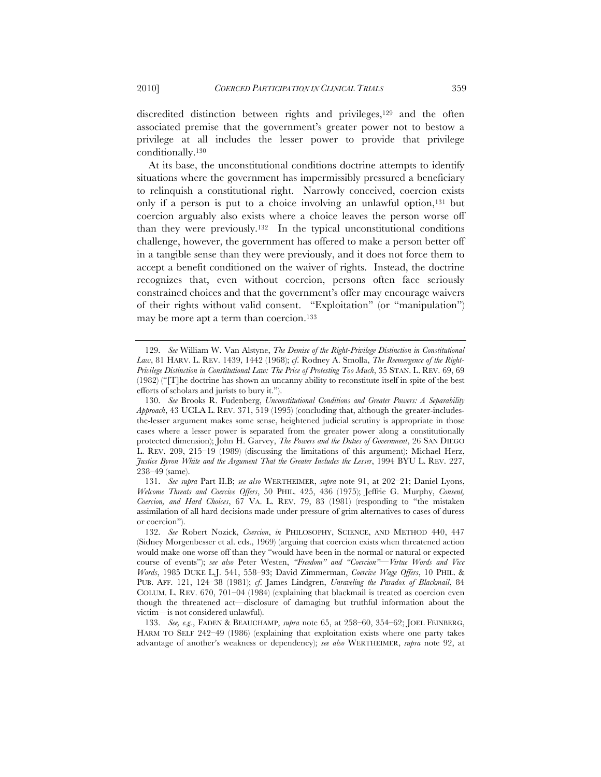discredited distinction between rights and privileges,<sup>129</sup> and the often associated premise that the government's greater power not to bestow a privilege at all includes the lesser power to provide that privilege conditionally.130

At its base, the unconstitutional conditions doctrine attempts to identify situations where the government has impermissibly pressured a beneficiary to relinquish a constitutional right. Narrowly conceived, coercion exists only if a person is put to a choice involving an unlawful option,<sup>131</sup> but coercion arguably also exists where a choice leaves the person worse off than they were previously.132 In the typical unconstitutional conditions challenge, however, the government has offered to make a person better off in a tangible sense than they were previously, and it does not force them to accept a benefit conditioned on the waiver of rights. Instead, the doctrine recognizes that, even without coercion, persons often face seriously constrained choices and that the government's offer may encourage waivers of their rights without valid consent. "Exploitation" (or "manipulation") may be more apt a term than coercion.133

<sup>129.</sup> *See* William W. Van Alstyne, *The Demise of the Right-Privilege Distinction in Constitutional Law*, 81 HARV. L. REV. 1439, 1442 (1968); *cf*. Rodney A. Smolla, *The Reemergence of the Right-Privilege Distinction in Constitutional Law: The Price of Protesting Too Much*, 35 STAN. L. REV. 69, 69 (1982) ("[T]he doctrine has shown an uncanny ability to reconstitute itself in spite of the best efforts of scholars and jurists to bury it.").

<sup>130.</sup> *See* Brooks R. Fudenberg, *Unconstitutional Conditions and Greater Powers: A Separability Approach*, 43 UCLA L. REV. 371, 519 (1995) (concluding that, although the greater-includesthe-lesser argument makes some sense, heightened judicial scrutiny is appropriate in those cases where a lesser power is separated from the greater power along a constitutionally protected dimension); John H. Garvey, *The Powers and the Duties of Government*, 26 SAN DIEGO L. REV. 209, 215–19 (1989) (discussing the limitations of this argument); Michael Herz, *Justice Byron White and the Argument That the Greater Includes the Lesser*, 1994 BYU L. REV. 227, 238–49 (same).

<sup>131.</sup> *See supra* Part II.B; *see also* WERTHEIMER, *supra* note 91, at 202–21; Daniel Lyons, *Welcome Threats and Coercive Offers*, 50 PHIL. 425, 436 (1975); Jeffrie G. Murphy, *Consent, Coercion, and Hard Choices*, 67 VA. L. REV. 79, 83 (1981) (responding to "the mistaken assimilation of all hard decisions made under pressure of grim alternatives to cases of duress or coercion").

<sup>132.</sup> *See* Robert Nozick, *Coercion*, *in* PHILOSOPHY, SCIENCE, AND METHOD 440, 447 (Sidney Morgenbesser et al. eds., 1969) (arguing that coercion exists when threatened action would make one worse off than they "would have been in the normal or natural or expected course of events"); *see also* Peter Westen, *"Freedom" and "Coercion"—Virtue Words and Vice Words*, 1985 DUKE L.J. 541, 558–93; David Zimmerman, *Coercive Wage Offers*, 10 PHIL. & PUB. AFF. 121, 124–38 (1981); *cf*. James Lindgren, *Unraveling the Paradox of Blackmail*, 84 COLUM. L. REV. 670, 701–04 (1984) (explaining that blackmail is treated as coercion even though the threatened act—disclosure of damaging but truthful information about the victim—is not considered unlawful).

<sup>133.</sup> *See, e.g.*, FADEN & BEAUCHAMP, *supra* note 65, at 258–60, 354–62; JOEL FEINBERG, HARM TO SELF 242–49 (1986) (explaining that exploitation exists where one party takes advantage of another's weakness or dependency); *see also* WERTHEIMER, *supra* note 92, at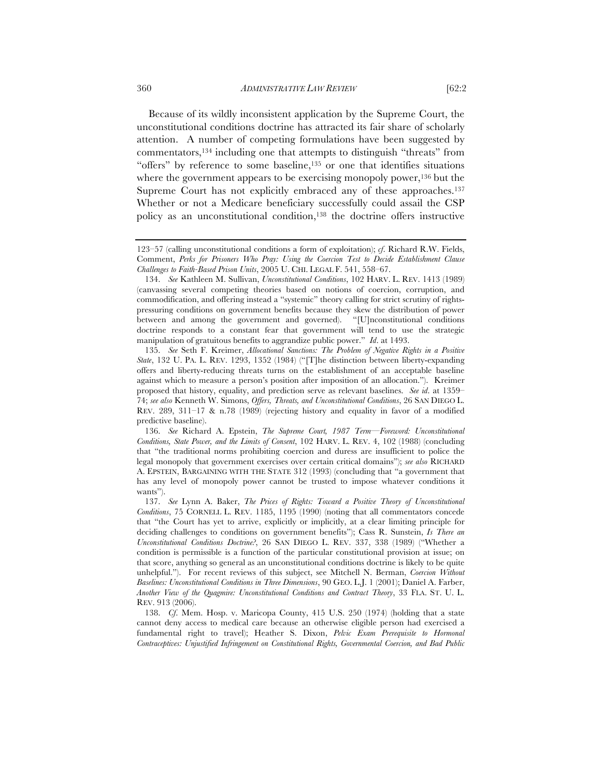Because of its wildly inconsistent application by the Supreme Court, the unconstitutional conditions doctrine has attracted its fair share of scholarly attention. A number of competing formulations have been suggested by commentators,134 including one that attempts to distinguish "threats" from "offers" by reference to some baseline,<sup>135</sup> or one that identifies situations where the government appears to be exercising monopoly power,<sup>136</sup> but the Supreme Court has not explicitly embraced any of these approaches.<sup>137</sup> Whether or not a Medicare beneficiary successfully could assail the CSP policy as an unconstitutional condition,138 the doctrine offers instructive

<sup>123–57 (</sup>calling unconstitutional conditions a form of exploitation); *cf*. Richard R.W. Fields, Comment, *Perks for Prisoners Who Pray: Using the Coercion Test to Decide Establishment Clause Challenges to Faith-Based Prison Units*, 2005 U. CHI. LEGAL F. 541, 558–67.

<sup>134.</sup> *See* Kathleen M. Sullivan, *Unconstitutional Conditions*, 102 HARV. L. REV. 1413 (1989) (canvassing several competing theories based on notions of coercion, corruption, and commodification, and offering instead a "systemic" theory calling for strict scrutiny of rightspressuring conditions on government benefits because they skew the distribution of power between and among the government and governed). "[U]nconstitutional conditions doctrine responds to a constant fear that government will tend to use the strategic manipulation of gratuitous benefits to aggrandize public power." *Id*. at 1493.

<sup>135.</sup> *See* Seth F. Kreimer, *Allocational Sanctions: The Problem of Negative Rights in a Positive State*, 132 U. PA. L. REV. 1293, 1352 (1984) ("[T]he distinction between liberty-expanding offers and liberty-reducing threats turns on the establishment of an acceptable baseline against which to measure a person's position after imposition of an allocation."). Kreimer proposed that history, equality, and prediction serve as relevant baselines. *See id*. at 1359– 74; *see also* Kenneth W. Simons, *Offers, Threats, and Unconstitutional Conditions*, 26 SAN DIEGO L. REV. 289, 311–17 & n.78 (1989) (rejecting history and equality in favor of a modified predictive baseline).

<sup>136.</sup> *See* Richard A. Epstein, *The Supreme Court, 1987 Term—Foreword: Unconstitutional Conditions, State Power, and the Limits of Consent*, 102 HARV. L. REV. 4, 102 (1988) (concluding that "the traditional norms prohibiting coercion and duress are insufficient to police the legal monopoly that government exercises over certain critical domains"); *see also* RICHARD A. EPSTEIN, BARGAINING WITH THE STATE 312 (1993) (concluding that "a government that has any level of monopoly power cannot be trusted to impose whatever conditions it wants").

<sup>137.</sup> *See* Lynn A. Baker, *The Prices of Rights: Toward a Positive Theory of Unconstitutional Conditions*, 75 CORNELL L. REV. 1185, 1195 (1990) (noting that all commentators concede that "the Court has yet to arrive, explicitly or implicitly, at a clear limiting principle for deciding challenges to conditions on government benefits"); Cass R. Sunstein, *Is There an Unconstitutional Conditions Doctrine?*, 26 SAN DIEGO L. REV. 337, 338 (1989) ("Whether a condition is permissible is a function of the particular constitutional provision at issue; on that score, anything so general as an unconstitutional conditions doctrine is likely to be quite unhelpful."). For recent reviews of this subject, see Mitchell N. Berman, *Coercion Without Baselines: Unconstitutional Conditions in Three Dimensions*, 90 GEO. L.J. 1 (2001); Daniel A. Farber, *Another View of the Quagmire: Unconstitutional Conditions and Contract Theory*, 33 FLA. ST. U. L. REV. 913 (2006).

<sup>138.</sup> *Cf*. Mem. Hosp. v. Maricopa County, 415 U.S. 250 (1974) (holding that a state cannot deny access to medical care because an otherwise eligible person had exercised a fundamental right to travel); Heather S. Dixon, *Pelvic Exam Prerequisite to Hormonal Contraceptives: Unjustified Infringement on Constitutional Rights, Governmental Coercion, and Bad Public*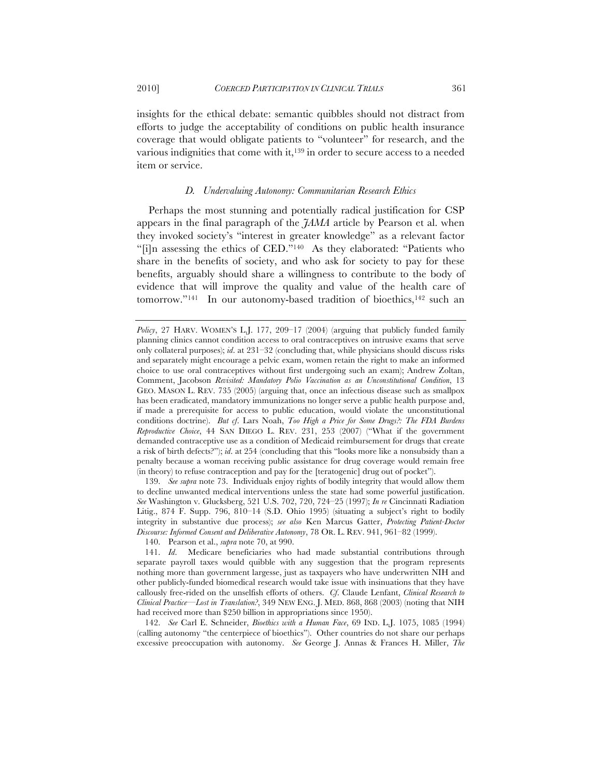insights for the ethical debate: semantic quibbles should not distract from efforts to judge the acceptability of conditions on public health insurance coverage that would obligate patients to "volunteer" for research, and the various indignities that come with it,139 in order to secure access to a needed item or service.

#### *D. Undervaluing Autonomy: Communitarian Research Ethics*

Perhaps the most stunning and potentially radical justification for CSP appears in the final paragraph of the *JAMA* article by Pearson et al. when they invoked society's "interest in greater knowledge" as a relevant factor "[i]n assessing the ethics of CED."140 As they elaborated: "Patients who share in the benefits of society, and who ask for society to pay for these benefits, arguably should share a willingness to contribute to the body of evidence that will improve the quality and value of the health care of tomorrow."<sup>141</sup> In our autonomy-based tradition of bioethics,<sup>142</sup> such an

139. *See supra* note 73. Individuals enjoy rights of bodily integrity that would allow them to decline unwanted medical interventions unless the state had some powerful justification. *See* Washington v. Glucksberg, 521 U.S. 702, 720, 724–25 (1997); *In re* Cincinnati Radiation Litig., 874 F. Supp. 796, 810–14 (S.D. Ohio 1995) (situating a subject's right to bodily integrity in substantive due process); *see also* Ken Marcus Gatter, *Protecting Patient-Doctor Discourse: Informed Consent and Deliberative Autonomy*, 78 OR. L. REV. 941, 961–82 (1999).

140. Pearson et al., *supra* note 70, at 990.

142. *See* Carl E. Schneider, *Bioethics with a Human Face*, 69 IND. L.J. 1075, 1085 (1994) (calling autonomy "the centerpiece of bioethics"). Other countries do not share our perhaps excessive preoccupation with autonomy. *See* George J. Annas & Frances H. Miller, *The* 

*Policy*, 27 HARV. WOMEN'S L.J. 177, 209–17 (2004) (arguing that publicly funded family planning clinics cannot condition access to oral contraceptives on intrusive exams that serve only collateral purposes); *id*. at 231–32 (concluding that, while physicians should discuss risks and separately might encourage a pelvic exam, women retain the right to make an informed choice to use oral contraceptives without first undergoing such an exam); Andrew Zoltan, Comment, Jacobson *Revisited: Mandatory Polio Vaccination as an Unconstitutional Condition*, 13 GEO. MASON L. REV. 735 (2005) (arguing that, once an infectious disease such as smallpox has been eradicated, mandatory immunizations no longer serve a public health purpose and, if made a prerequisite for access to public education, would violate the unconstitutional conditions doctrine). *But cf*. Lars Noah, *Too High a Price for Some Drugs?: The FDA Burdens Reproductive Choice*, 44 SAN DIEGO L. REV. 231, 253 (2007) ("What if the government demanded contraceptive use as a condition of Medicaid reimbursement for drugs that create a risk of birth defects?"); *id*. at 254 (concluding that this "looks more like a nonsubsidy than a penalty because a woman receiving public assistance for drug coverage would remain free (in theory) to refuse contraception and pay for the [teratogenic] drug out of pocket").

<sup>141.</sup> *Id*. Medicare beneficiaries who had made substantial contributions through separate payroll taxes would quibble with any suggestion that the program represents nothing more than government largesse, just as taxpayers who have underwritten NIH and other publicly-funded biomedical research would take issue with insinuations that they have callously free-rided on the unselfish efforts of others. *Cf*. Claude Lenfant, *Clinical Research to Clinical Practice—Lost in Translation?*, 349 NEW ENG. J. MED. 868, 868 (2003) (noting that NIH had received more than \$250 billion in appropriations since 1950).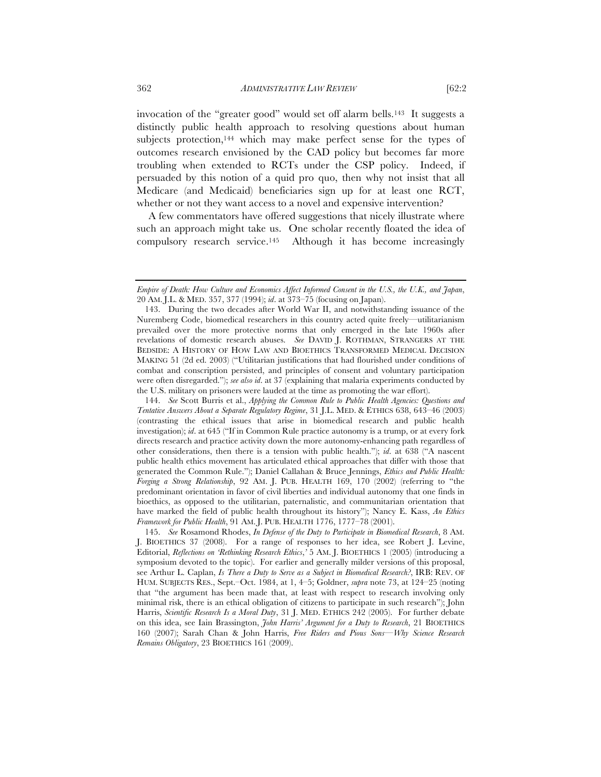invocation of the "greater good" would set off alarm bells.143 It suggests a distinctly public health approach to resolving questions about human subjects protection,<sup>144</sup> which may make perfect sense for the types of outcomes research envisioned by the CAD policy but becomes far more troubling when extended to RCTs under the CSP policy. Indeed, if persuaded by this notion of a quid pro quo, then why not insist that all Medicare (and Medicaid) beneficiaries sign up for at least one RCT, whether or not they want access to a novel and expensive intervention?

A few commentators have offered suggestions that nicely illustrate where such an approach might take us. One scholar recently floated the idea of compulsory research service.145 Although it has become increasingly

*Empire of Death: How Culture and Economics Affect Informed Consent in the U.S., the U.K., and Japan*, 20 AM. J.L. & MED. 357, 377 (1994); *id*. at 373–75 (focusing on Japan).

<sup>143.</sup> During the two decades after World War II, and notwithstanding issuance of the Nuremberg Code, biomedical researchers in this country acted quite freely—utilitarianism prevailed over the more protective norms that only emerged in the late 1960s after revelations of domestic research abuses. *See* DAVID J. ROTHMAN, STRANGERS AT THE BEDSIDE: A HISTORY OF HOW LAW AND BIOETHICS TRANSFORMED MEDICAL DECISION MAKING 51 (2d ed. 2003) ("Utilitarian justifications that had flourished under conditions of combat and conscription persisted, and principles of consent and voluntary participation were often disregarded."); *see also id*. at 37 (explaining that malaria experiments conducted by the U.S. military on prisoners were lauded at the time as promoting the war effort).

<sup>144.</sup> *See* Scott Burris et al., *Applying the Common Rule to Public Health Agencies: Questions and Tentative Answers About a Separate Regulatory Regime*, 31 J.L. MED. & ETHICS 638, 643–46 (2003) (contrasting the ethical issues that arise in biomedical research and public health investigation); *id*. at 645 ("If in Common Rule practice autonomy is a trump, or at every fork directs research and practice activity down the more autonomy-enhancing path regardless of other considerations, then there is a tension with public health."); *id*. at 638 ("A nascent public health ethics movement has articulated ethical approaches that differ with those that generated the Common Rule."); Daniel Callahan & Bruce Jennings, *Ethics and Public Health: Forging a Strong Relationship*, 92 AM. J. PUB. HEALTH 169, 170 (2002) (referring to "the predominant orientation in favor of civil liberties and individual autonomy that one finds in bioethics, as opposed to the utilitarian, paternalistic, and communitarian orientation that have marked the field of public health throughout its history"); Nancy E. Kass, *An Ethics Framework for Public Health*, 91 AM. J. PUB. HEALTH 1776, 1777–78 (2001).

<sup>145.</sup> *See* Rosamond Rhodes, *In Defense of the Duty to Participate in Biomedical Research*, 8 AM. J. BIOETHICS 37 (2008). For a range of responses to her idea, see Robert J. Levine, Editorial, *Reflections on 'Rethinking Research Ethics*,*'* 5 AM. J. BIOETHICS 1 (2005) (introducing a symposium devoted to the topic). For earlier and generally milder versions of this proposal, see Arthur L. Caplan, *Is There a Duty to Serve as a Subject in Biomedical Research?*, IRB: REV. OF HUM. SUBJECTS RES., Sept.–Oct. 1984, at 1, 4–5; Goldner, *supra* note 73, at 124–25 (noting that "the argument has been made that, at least with respect to research involving only minimal risk, there is an ethical obligation of citizens to participate in such research"); John Harris, *Scientific Research Is a Moral Duty*, 31 J. MED. ETHICS 242 (2005). For further debate on this idea, see Iain Brassington, *John Harris' Argument for a Duty to Research*, 21 BIOETHICS 160 (2007); Sarah Chan & John Harris, *Free Riders and Pious Sons—Why Science Research Remains Obligatory*, 23 BIOETHICS 161 (2009).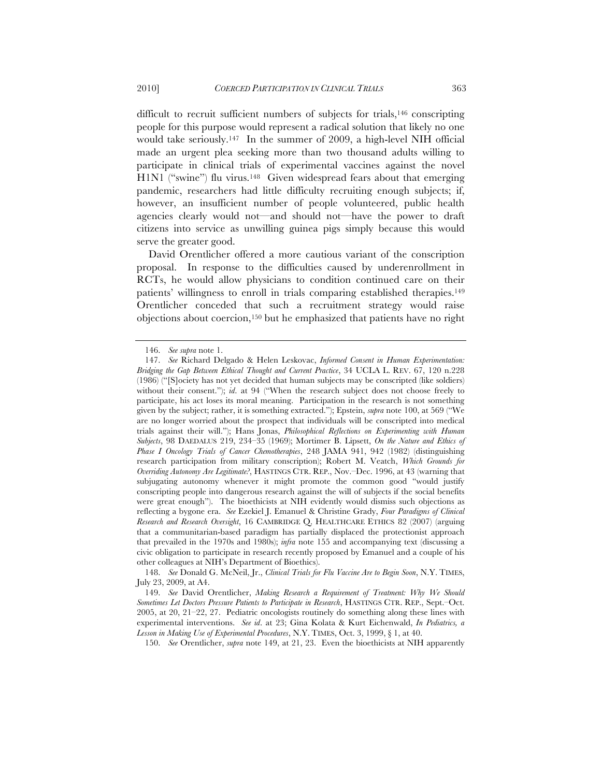difficult to recruit sufficient numbers of subjects for trials,<sup>146</sup> conscripting people for this purpose would represent a radical solution that likely no one would take seriously.147 In the summer of 2009, a high-level NIH official made an urgent plea seeking more than two thousand adults willing to participate in clinical trials of experimental vaccines against the novel H1N1 ("swine") flu virus.<sup>148</sup> Given widespread fears about that emerging pandemic, researchers had little difficulty recruiting enough subjects; if, however, an insufficient number of people volunteered, public health agencies clearly would not—and should not—have the power to draft citizens into service as unwilling guinea pigs simply because this would serve the greater good.

David Orentlicher offered a more cautious variant of the conscription proposal. In response to the difficulties caused by underenrollment in RCTs, he would allow physicians to condition continued care on their patients' willingness to enroll in trials comparing established therapies.149 Orentlicher conceded that such a recruitment strategy would raise objections about coercion,150 but he emphasized that patients have no right

148. *See* Donald G. McNeil, Jr., *Clinical Trials for Flu Vaccine Are to Begin Soon*, N.Y. TIMES, July 23, 2009, at A4.

149. *See* David Orentlicher, *Making Research a Requirement of Treatment: Why We Should Sometimes Let Doctors Pressure Patients to Participate in Research*, HASTINGS CTR. REP., Sept.–Oct. 2005, at 20, 21–22, 27. Pediatric oncologists routinely do something along these lines with experimental interventions. *See id*. at 23; Gina Kolata & Kurt Eichenwald, *In Pediatrics, a Lesson in Making Use of Experimental Procedures*, N.Y. TIMES, Oct. 3, 1999, § 1, at 40.

150. *See* Orentlicher, *supra* note 149, at 21, 23. Even the bioethicists at NIH apparently

<sup>146.</sup> *See supra* note 1.

<sup>147.</sup> *See* Richard Delgado & Helen Leskovac, *Informed Consent in Human Experimentation: Bridging the Gap Between Ethical Thought and Current Practice*, 34 UCLA L. REV. 67, 120 n.228 (1986) ("[S]ociety has not yet decided that human subjects may be conscripted (like soldiers) without their consent."); *id.* at 94 ("When the research subject does not choose freely to participate, his act loses its moral meaning. Participation in the research is not something given by the subject; rather, it is something extracted."); Epstein, *supra* note 100, at 569 ("We are no longer worried about the prospect that individuals will be conscripted into medical trials against their will."); Hans Jonas, *Philosophical Reflections on Experimenting with Human Subjects*, 98 DAEDALUS 219, 234–35 (1969); Mortimer B. Lipsett, *On the Nature and Ethics of Phase I Oncology Trials of Cancer Chemotherapies*, 248 JAMA 941, 942 (1982) (distinguishing research participation from military conscription); Robert M. Veatch, *Which Grounds for Overriding Autonomy Are Legitimate?*, HASTINGS CTR. REP., Nov.–Dec. 1996, at 43 (warning that subjugating autonomy whenever it might promote the common good "would justify conscripting people into dangerous research against the will of subjects if the social benefits were great enough"). The bioethicists at NIH evidently would dismiss such objections as reflecting a bygone era. *See* Ezekiel J. Emanuel & Christine Grady, *Four Paradigms of Clinical Research and Research Oversight*, 16 CAMBRIDGE Q. HEALTHCARE ETHICS 82 (2007) (arguing that a communitarian-based paradigm has partially displaced the protectionist approach that prevailed in the 1970s and 1980s); *infra* note 155 and accompanying text (discussing a civic obligation to participate in research recently proposed by Emanuel and a couple of his other colleagues at NIH's Department of Bioethics).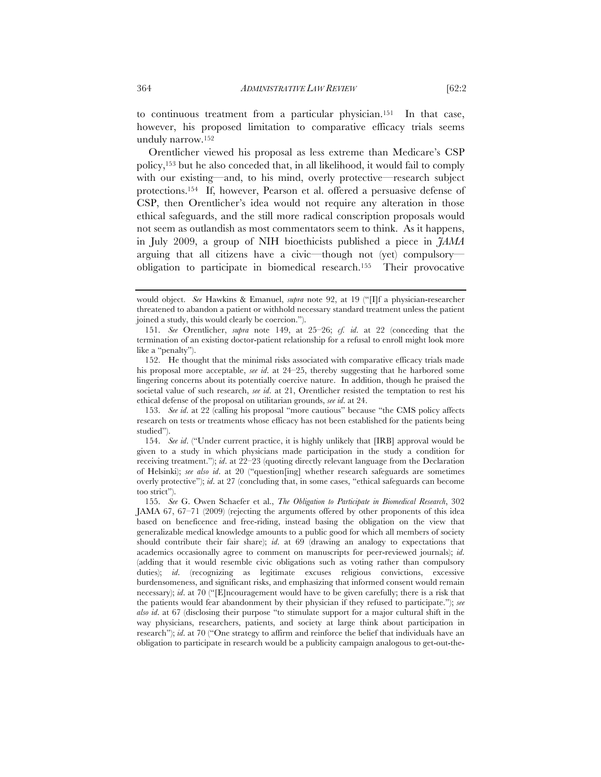Orentlicher viewed his proposal as less extreme than Medicare's CSP policy,153 but he also conceded that, in all likelihood, it would fail to comply with our existing—and, to his mind, overly protective—research subject protections.154 If, however, Pearson et al. offered a persuasive defense of CSP, then Orentlicher's idea would not require any alteration in those ethical safeguards, and the still more radical conscription proposals would not seem as outlandish as most commentators seem to think. As it happens, in July 2009, a group of NIH bioethicists published a piece in *JAMA* arguing that all citizens have a civic—though not (yet) compulsory obligation to participate in biomedical research.155 Their provocative

would object. *See* Hawkins & Emanuel, *supra* note 92, at 19 ("[I]f a physician-researcher threatened to abandon a patient or withhold necessary standard treatment unless the patient joined a study, this would clearly be coercion.").

<sup>151.</sup> *See* Orentlicher, *supra* note 149, at 25–26; *cf. id*. at 22 (conceding that the termination of an existing doctor-patient relationship for a refusal to enroll might look more like a "penalty").

<sup>152.</sup> He thought that the minimal risks associated with comparative efficacy trials made his proposal more acceptable, *see id*. at 24–25, thereby suggesting that he harbored some lingering concerns about its potentially coercive nature. In addition, though he praised the societal value of such research, *see id*. at 21, Orentlicher resisted the temptation to rest his ethical defense of the proposal on utilitarian grounds, *see id*. at 24.

<sup>153.</sup> *See id*. at 22 (calling his proposal "more cautious" because "the CMS policy affects research on tests or treatments whose efficacy has not been established for the patients being studied").

<sup>154.</sup> *See id*. ("Under current practice, it is highly unlikely that [IRB] approval would be given to a study in which physicians made participation in the study a condition for receiving treatment."); *id*. at 22–23 (quoting directly relevant language from the Declaration of Helsinki); *see also id*. at 20 ("question[ing] whether research safeguards are sometimes overly protective"); *id*. at 27 (concluding that, in some cases, "ethical safeguards can become too strict").

<sup>155.</sup> *See* G. Owen Schaefer et al., *The Obligation to Participate in Biomedical Research*, 302 JAMA 67, 67–71 (2009) (rejecting the arguments offered by other proponents of this idea based on beneficence and free-riding, instead basing the obligation on the view that generalizable medical knowledge amounts to a public good for which all members of society should contribute their fair share); *id*. at 69 (drawing an analogy to expectations that academics occasionally agree to comment on manuscripts for peer-reviewed journals); *id*. (adding that it would resemble civic obligations such as voting rather than compulsory duties); *id*. (recognizing as legitimate excuses religious convictions, excessive burdensomeness, and significant risks, and emphasizing that informed consent would remain necessary); *id*. at 70 ("[E]ncouragement would have to be given carefully; there is a risk that the patients would fear abandonment by their physician if they refused to participate."); *see also id*. at 67 (disclosing their purpose "to stimulate support for a major cultural shift in the way physicians, researchers, patients, and society at large think about participation in research"); *id*. at 70 ("One strategy to affirm and reinforce the belief that individuals have an obligation to participate in research would be a publicity campaign analogous to get-out-the-